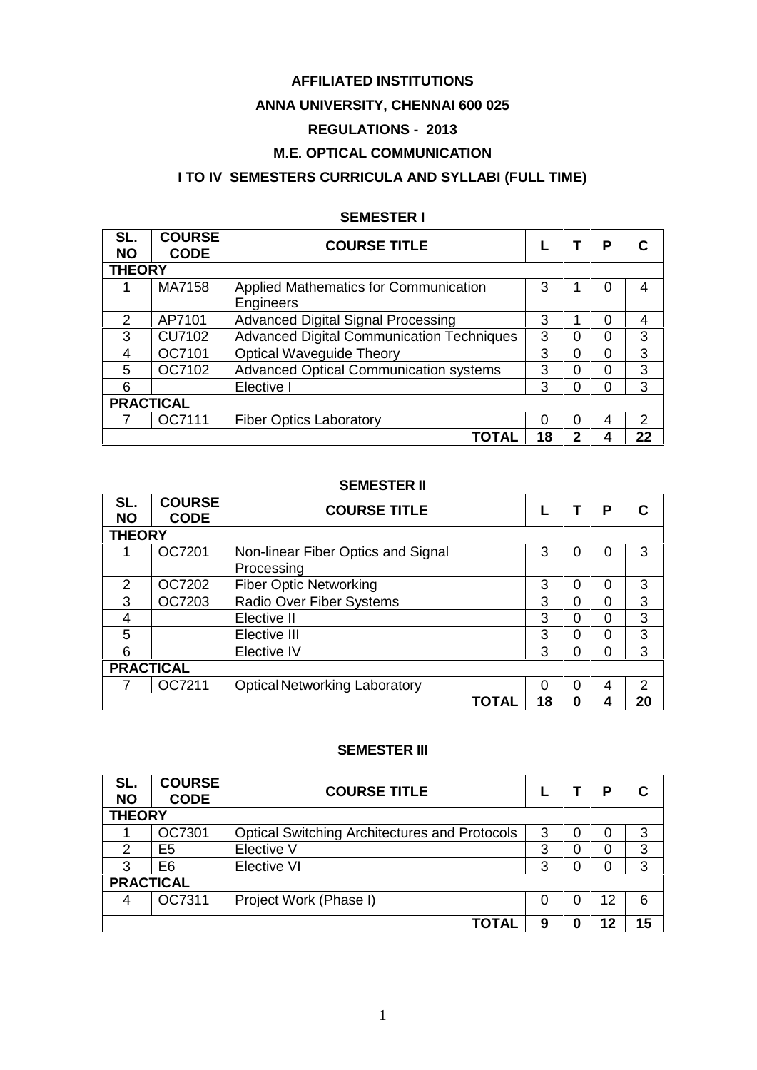### **AFFILIATED INSTITUTIONS**

# **ANNA UNIVERSITY, CHENNAI 600 025**

# **REGULATIONS - 2013**

## **M.E. OPTICAL COMMUNICATION**

# **I TO IV SEMESTERS CURRICULA AND SYLLABI (FULL TIME)**

### **SEMESTER I**

| SL.<br><b>NO</b> | <b>COURSE</b><br><b>CODE</b> | <b>COURSE TITLE</b>                                |    | P | С             |
|------------------|------------------------------|----------------------------------------------------|----|---|---------------|
| <b>THEORY</b>    |                              |                                                    |    |   |               |
|                  | MA7158                       | Applied Mathematics for Communication<br>Engineers | 3  |   | 4             |
| 2                | AP7101                       | <b>Advanced Digital Signal Processing</b>          | 3  |   | 4             |
| 3                | <b>CU7102</b>                | Advanced Digital Communication Techniques          | 3  | ი | 3             |
| 4                | OC7101                       | <b>Optical Waveguide Theory</b>                    | 3  |   | 3             |
| 5                | OC7102                       | <b>Advanced Optical Communication systems</b>      | 3  |   | 3             |
| 6                |                              | Elective I                                         | 3  | ი | 3             |
| <b>PRACTICAL</b> |                              |                                                    |    |   |               |
|                  | OC7111                       | <b>Fiber Optics Laboratory</b>                     | 0  |   | $\mathcal{P}$ |
|                  |                              | ΤΟΤΑΙ                                              | 18 |   | 22            |

#### **SEMESTER II**

| SL.<br><b>NO</b> | <b>COURSE</b><br><b>CODE</b> | <b>COURSE TITLE</b>                              |    |  | P | C  |  |  |  |
|------------------|------------------------------|--------------------------------------------------|----|--|---|----|--|--|--|
|                  | <b>THEORY</b>                |                                                  |    |  |   |    |  |  |  |
|                  | OC7201                       | Non-linear Fiber Optics and Signal<br>Processing | 3  |  |   | 3  |  |  |  |
| 2                | OC7202                       | <b>Fiber Optic Networking</b>                    | 3  |  |   | 3  |  |  |  |
| 3                | OC7203                       | Radio Over Fiber Systems                         | 3  |  |   | 3  |  |  |  |
| 4                |                              | Elective II                                      | 3  |  |   | 3  |  |  |  |
| 5                |                              | Elective III                                     | 3  |  | ი | 3  |  |  |  |
| 6                |                              | Elective IV                                      | 3  |  |   | 3  |  |  |  |
| <b>PRACTICAL</b> |                              |                                                  |    |  |   |    |  |  |  |
|                  | OC7211                       | <b>Optical Networking Laboratory</b>             | 0  |  | 4 | 2  |  |  |  |
|                  |                              | <b>TOTAL</b>                                     | 18 |  |   | 20 |  |  |  |

#### **SEMESTER III**

| SL.<br><b>NO</b> | <b>COURSE</b><br><b>CODE</b> | <b>COURSE TITLE</b>                                  |   | D  | С  |
|------------------|------------------------------|------------------------------------------------------|---|----|----|
| <b>THEORY</b>    |                              |                                                      |   |    |    |
|                  | OC7301                       | <b>Optical Switching Architectures and Protocols</b> | 3 |    | 3  |
| 2                | E5                           | Elective V                                           | 3 |    | 3  |
| 3                | E6                           | <b>Elective VI</b>                                   | 3 |    | 3  |
| <b>PRACTICAL</b> |                              |                                                      |   |    |    |
| 4                | OC7311                       | Project Work (Phase I)                               | 0 | 12 | 6  |
|                  |                              | <b>TOTAL</b>                                         | 9 | 12 | 15 |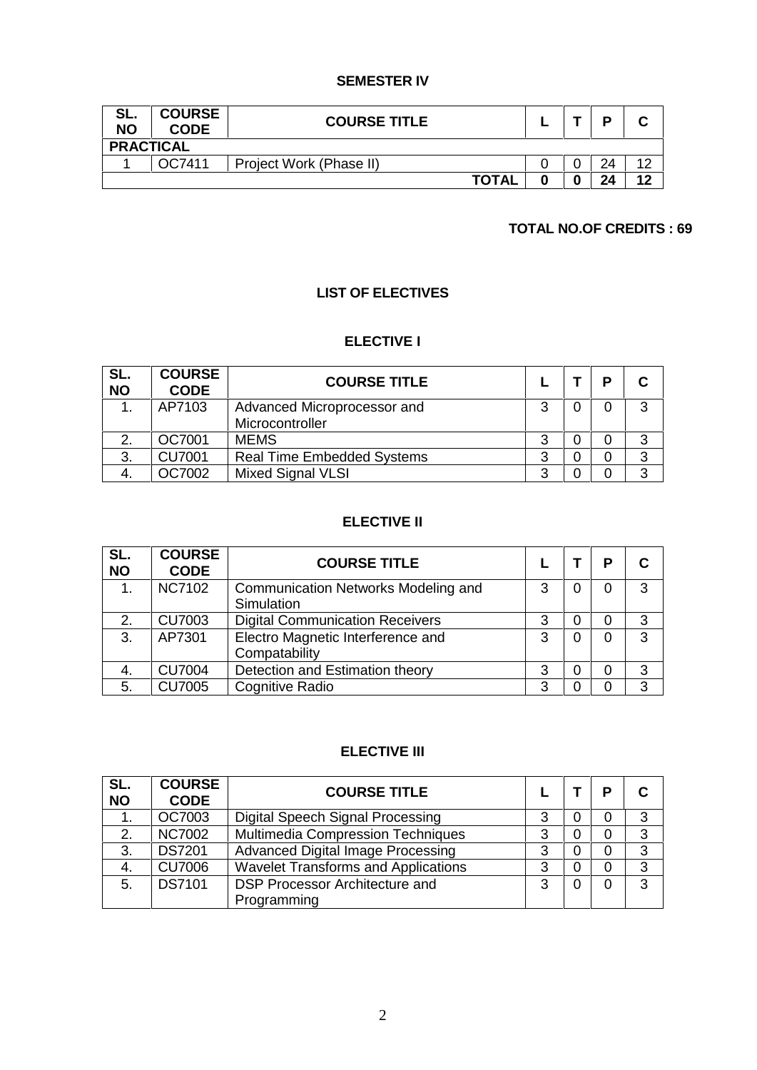### **SEMESTER IV**

| SL.<br><b>NO</b> | <b>COURSE</b><br><b>CODE</b> | <b>COURSE TITLE</b>     |  |    |    |
|------------------|------------------------------|-------------------------|--|----|----|
| <b>PRACTICAL</b> |                              |                         |  |    |    |
|                  | OC7411                       | Project Work (Phase II) |  | 24 | 10 |
|                  |                              | <b>TOTAL</b>            |  |    | 12 |

# **TOTAL NO.OF CREDITS : 69**

# **LIST OF ELECTIVES**

#### **ELECTIVE I**

| SL.<br><b>NO</b> | <b>COURSE</b><br><b>CODE</b> | <b>COURSE TITLE</b>               |   | D |   |
|------------------|------------------------------|-----------------------------------|---|---|---|
|                  | AP7103                       | Advanced Microprocessor and       | 3 |   | 3 |
|                  |                              | Microcontroller                   |   |   |   |
|                  | OC7001                       | <b>MEMS</b>                       |   |   | 3 |
| 3.               | <b>CU7001</b>                | <b>Real Time Embedded Systems</b> | 3 |   | 3 |
| 4.               | OC7002                       | <b>Mixed Signal VLSI</b>          | າ |   | 3 |

#### **ELECTIVE II**

| SL.<br><b>NO</b> | <b>COURSE</b><br><b>CODE</b> | <b>COURSE TITLE</b>                                |   | D |   |
|------------------|------------------------------|----------------------------------------------------|---|---|---|
| $\mathbf 1$ .    | <b>NC7102</b>                | Communication Networks Modeling and<br>Simulation  | 3 |   | 3 |
| 2.               | <b>CU7003</b>                | <b>Digital Communication Receivers</b>             | 3 |   | 3 |
| 3.               | AP7301                       | Electro Magnetic Interference and<br>Compatability | 3 |   | 3 |
| 4.               | <b>CU7004</b>                | Detection and Estimation theory                    | 3 |   | 3 |
| 5.               | <b>CU7005</b>                | <b>Cognitive Radio</b>                             | 3 |   | 3 |

#### **ELECTIVE III**

| SL.<br><b>NO</b> | <b>COURSE</b><br><b>CODE</b> | <b>COURSE TITLE</b>                        |   | D |   |
|------------------|------------------------------|--------------------------------------------|---|---|---|
| 1.               | OC7003                       | Digital Speech Signal Processing           | 3 |   | 3 |
| 2.               | <b>NC7002</b>                | <b>Multimedia Compression Techniques</b>   | 3 |   | 3 |
| 3.               | <b>DS7201</b>                | <b>Advanced Digital Image Processing</b>   | 3 |   | 3 |
| 4.               | <b>CU7006</b>                | <b>Wavelet Transforms and Applications</b> | 3 |   | 3 |
| 5.               | <b>DS7101</b>                | <b>DSP Processor Architecture and</b>      | 3 |   | 3 |
|                  |                              | Programming                                |   |   |   |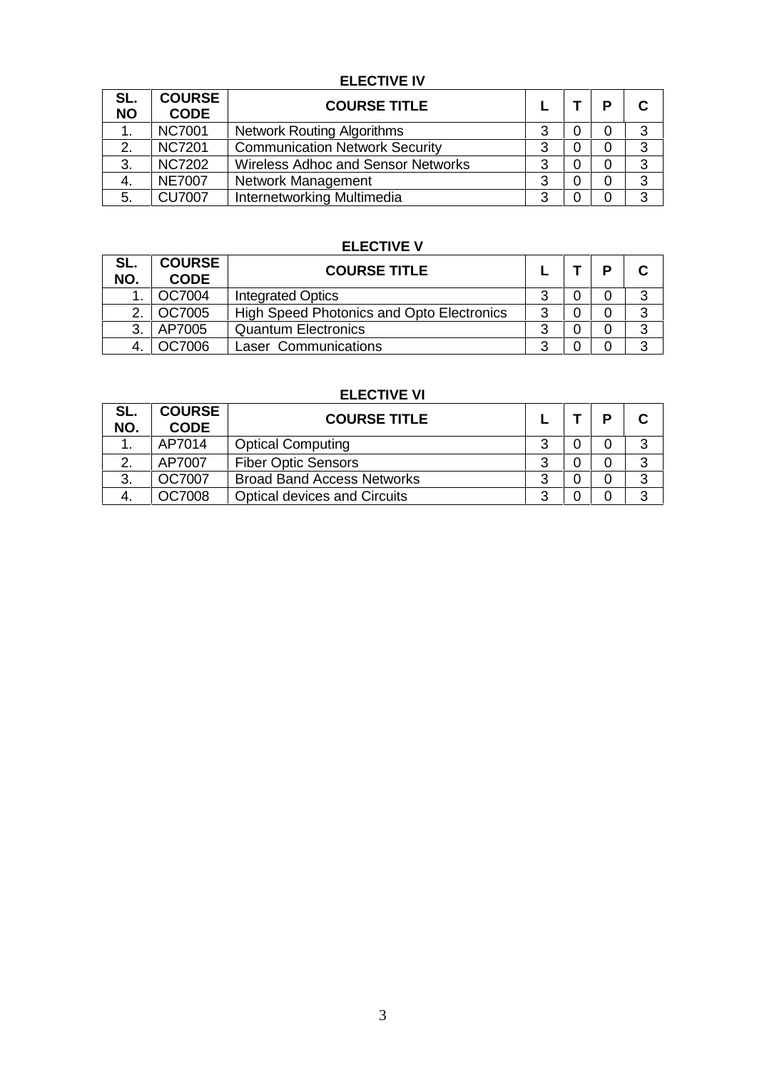# **ELECTIVE IV**

| SL.<br><b>NO</b> | <b>COURSE</b><br><b>CODE</b> | <b>COURSE TITLE</b>                       |   | D |   |
|------------------|------------------------------|-------------------------------------------|---|---|---|
|                  | <b>NC7001</b>                | <b>Network Routing Algorithms</b>         | 3 |   | 3 |
| 2.               | <b>NC7201</b>                | <b>Communication Network Security</b>     | 3 |   | 3 |
| 3.               | <b>NC7202</b>                | <b>Wireless Adhoc and Sensor Networks</b> | 3 |   | 3 |
| 4.               | <b>NE7007</b>                | Network Management                        | 3 |   | 3 |
| 5.               | <b>CU7007</b>                | Internetworking Multimedia                | 3 |   | 3 |

# **ELECTIVE V**

| SL.<br>NO. | <b>COURSE</b><br><b>CODE</b> | <b>COURSE TITLE</b>                       |   | D |  |
|------------|------------------------------|-------------------------------------------|---|---|--|
|            | OC7004                       | <b>Integrated Optics</b>                  |   |   |  |
|            | OC7005                       | High Speed Photonics and Opto Electronics |   |   |  |
| 3.         | AP7005                       | <b>Quantum Electronics</b>                |   |   |  |
| 4.         | <b>DC7006</b>                | Laser Communications                      | ົ |   |  |

#### **ELECTIVE VI**

| SL.<br>NO. | <b>COURSE</b><br><b>CODE</b> | <b>COURSE TITLE</b>                 |   | D |   |
|------------|------------------------------|-------------------------------------|---|---|---|
|            | AP7014                       | <b>Optical Computing</b>            | 3 |   | ົ |
| 2.         | AP7007                       | <b>Fiber Optic Sensors</b>          | 3 |   | ◠ |
| 3.         | OC7007                       | <b>Broad Band Access Networks</b>   | ર |   | ົ |
| -4.        | OC7008                       | <b>Optical devices and Circuits</b> | າ |   | ົ |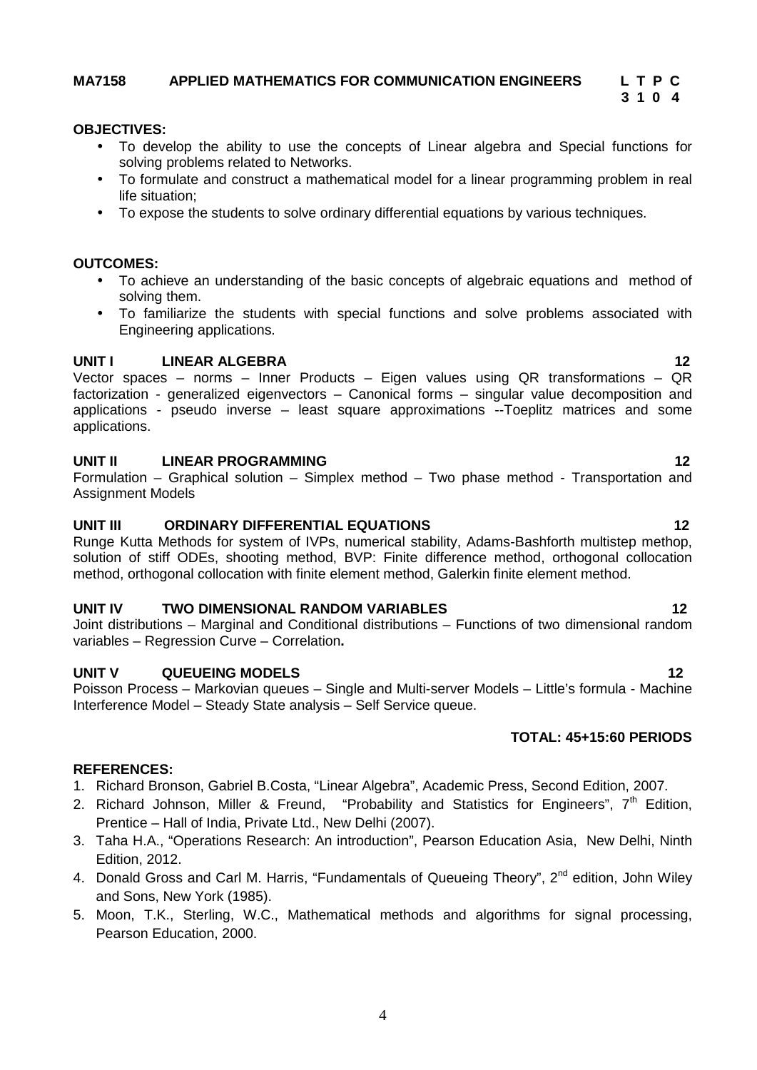#### **MA7158 APPLIED MATHEMATICS FOR COMMUNICATION ENGINEERS L T P C**

#### **OBJECTIVES:**

- To develop the ability to use the concepts of Linear algebra and Special functions for solving problems related to Networks.
- To formulate and construct a mathematical model for a linear programming problem in real life situation;
- To expose the students to solve ordinary differential equations by various techniques.

#### **OUTCOMES:**

- To achieve an understanding of the basic concepts of algebraic equations and method of solving them.
- To familiarize the students with special functions and solve problems associated with Engineering applications.

#### **UNIT I LINEAR ALGEBRA 12**

Vector spaces – norms – Inner Products – Eigen values using QR transformations – QR factorization - generalized eigenvectors – Canonical forms – singular value decomposition and applications - pseudo inverse – least square approximations --Toeplitz matrices and some applications.

#### **UNIT II LINEAR PROGRAMMING 12**

Formulation – Graphical solution – Simplex method – Two phase method - Transportation and Assignment Models

#### **UNIT III ORDINARY DIFFERENTIAL EQUATIONS 12**

Runge Kutta Methods for system of IVPs, numerical stability, Adams-Bashforth multistep methop, solution of stiff ODEs, shooting method, BVP: Finite difference method, orthogonal collocation method, orthogonal collocation with finite element method, Galerkin finite element method.

#### **UNIT IV TWO DIMENSIONAL RANDOM VARIABLES 12**

Joint distributions – Marginal and Conditional distributions – Functions of two dimensional random variables – Regression Curve – Correlation**.**

#### **UNIT V QUEUEING MODELS 12**

Poisson Process – Markovian queues – Single and Multi-server Models – Little's formula - Machine Interference Model – Steady State analysis – Self Service queue.

#### **TOTAL: 45+15:60 PERIODS**

#### **REFERENCES:**

- 1. Richard Bronson, Gabriel B.Costa, "Linear Algebra", Academic Press, Second Edition, 2007.
- 2. Richard Johnson, Miller & Freund, "Probability and Statistics for Engineers", 7<sup>th</sup> Edition, Prentice – Hall of India, Private Ltd., New Delhi (2007).
- 3. Taha H.A., "Operations Research: An introduction", Pearson Education Asia, New Delhi, Ninth Edition, 2012.
- 4. Donald Gross and Carl M. Harris, "Fundamentals of Queueing Theory", 2<sup>nd</sup> edition, John Wilev and Sons, New York (1985).
- 5. Moon, T.K., Sterling, W.C., Mathematical methods and algorithms for signal processing, Pearson Education, 2000.

# **3 1 0 4**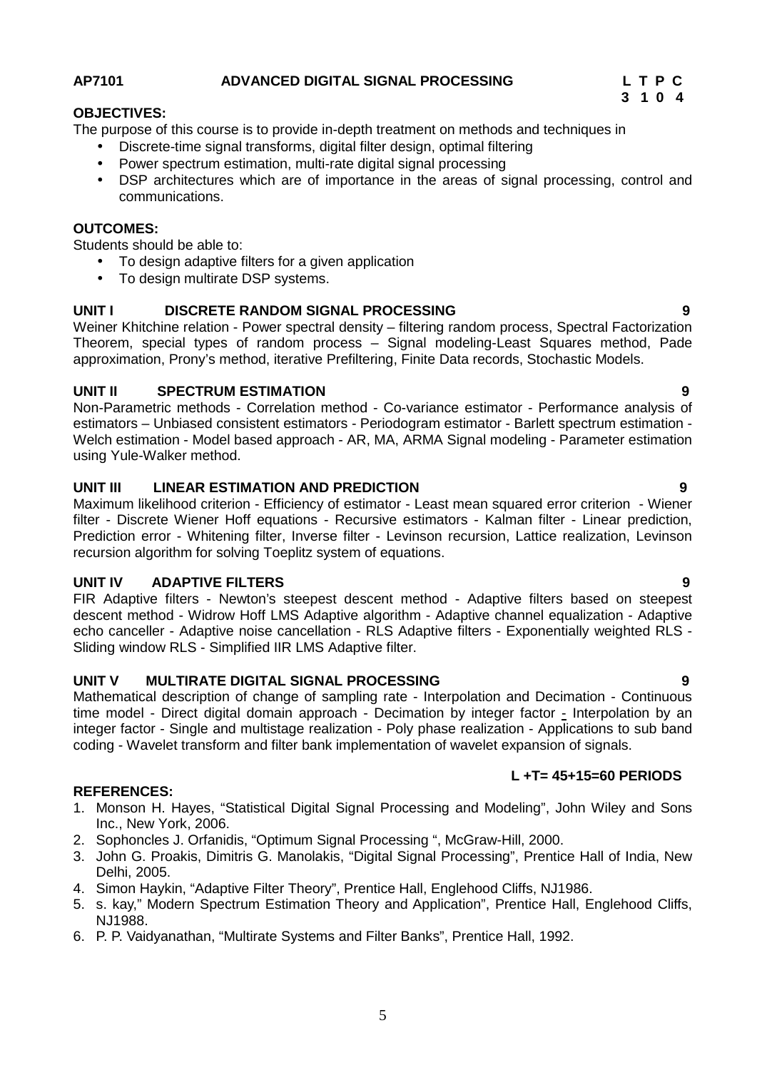### **AP7101 ADVANCED DIGITAL SIGNAL PROCESSING L T P C**

**3 1 0 4**

#### **OBJECTIVES:**

The purpose of this course is to provide in-depth treatment on methods and techniques in

- Discrete-time signal transforms, digital filter design, optimal filtering
	- Power spectrum estimation, multi-rate digital signal processing
	- DSP architectures which are of importance in the areas of signal processing, control and communications.

#### **OUTCOMES:**

Students should be able to:

- To design adaptive filters for a given application
- To design multirate DSP systems.

#### **UNIT I DISCRETE RANDOM SIGNAL PROCESSING 9**

Weiner Khitchine relation - Power spectral density – filtering random process, Spectral Factorization Theorem, special types of random process – Signal modeling-Least Squares method, Pade approximation, Prony's method, iterative Prefiltering, Finite Data records, Stochastic Models.

#### **UNIT II SPECTRUM ESTIMATION 9**

Non-Parametric methods - Correlation method - Co-variance estimator - Performance analysis of estimators – Unbiased consistent estimators - Periodogram estimator - Barlett spectrum estimation - Welch estimation - Model based approach - AR, MA, ARMA Signal modeling - Parameter estimation using Yule-Walker method.

#### **UNIT III LINEAR ESTIMATION AND PREDICTION 9**

Maximum likelihood criterion - Efficiency of estimator - Least mean squared error criterion - Wiener filter - Discrete Wiener Hoff equations - Recursive estimators - Kalman filter - Linear prediction, Prediction error - Whitening filter, Inverse filter - Levinson recursion, Lattice realization, Levinson recursion algorithm for solving Toeplitz system of equations.

#### **UNIT IV ADAPTIVE FILTERS 9**

FIR Adaptive filters - Newton's steepest descent method - Adaptive filters based on steepest descent method - Widrow Hoff LMS Adaptive algorithm - Adaptive channel equalization - Adaptive echo canceller - Adaptive noise cancellation - RLS Adaptive filters - Exponentially weighted RLS - Sliding window RLS - Simplified IIR LMS Adaptive filter.

#### **UNIT V MULTIRATE DIGITAL SIGNAL PROCESSING 9**

Mathematical description of change of sampling rate - Interpolation and Decimation - Continuous time model - Direct digital domain approach - Decimation by integer factor - Interpolation by an integer factor - Single and multistage realization - Poly phase realization - Applications to sub band coding - Wavelet transform and filter bank implementation of wavelet expansion of signals.

#### **L +T= 45+15=60 PERIODS**

#### **REFERENCES:**

- 1. Monson H. Hayes, "Statistical Digital Signal Processing and Modeling", John Wiley and Sons Inc., New York, 2006.
- 2. Sophoncles J. Orfanidis, "Optimum Signal Processing ", McGraw-Hill, 2000.
- 3. John G. Proakis, Dimitris G. Manolakis, "Digital Signal Processing", Prentice Hall of India, New Delhi, 2005.
- 4. Simon Haykin, "Adaptive Filter Theory", Prentice Hall, Englehood Cliffs, NJ1986.
- 5. s. kay," Modern Spectrum Estimation Theory and Application", Prentice Hall, Englehood Cliffs, NJ1988.
- 6. P. P. Vaidyanathan, "Multirate Systems and Filter Banks", Prentice Hall, 1992.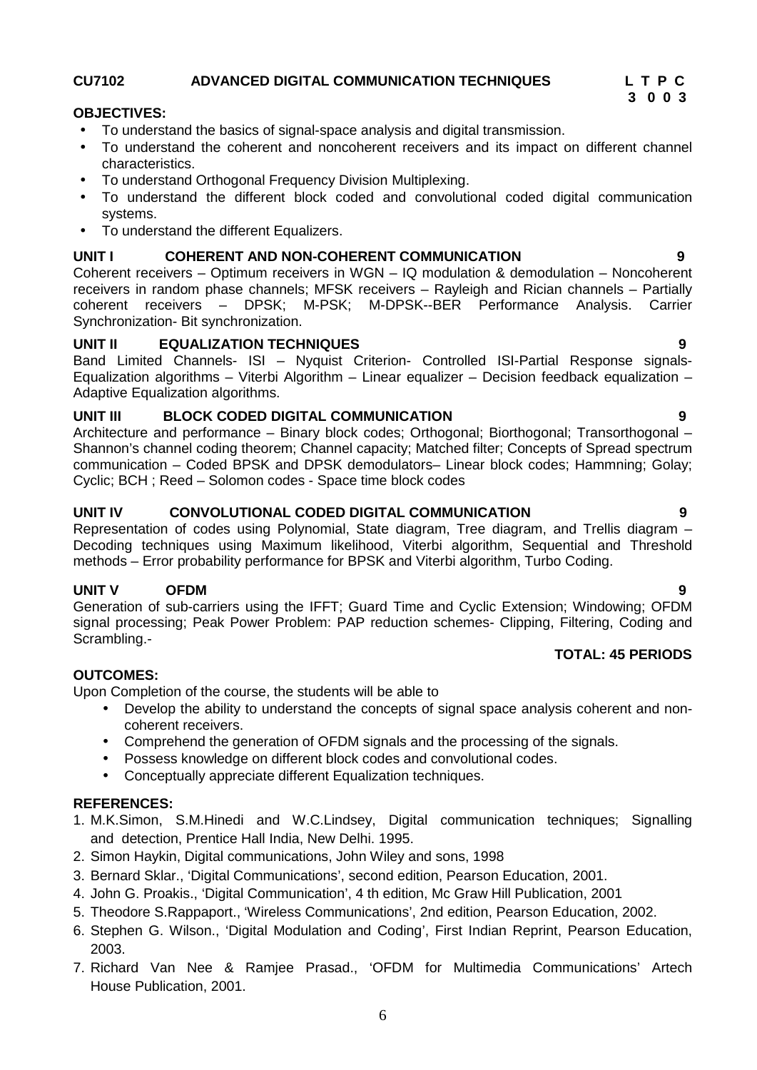### **CU7102 ADVANCED DIGITAL COMMUNICATION TECHNIQUES L T P C**

### **OBJECTIVES:**

- To understand the basics of signal-space analysis and digital transmission.
- To understand the coherent and noncoherent receivers and its impact on different channel characteristics.
- To understand Orthogonal Frequency Division Multiplexing.
- To understand the different block coded and convolutional coded digital communication systems.
- To understand the different Equalizers.

#### **UNIT I COHERENT AND NON-COHERENT COMMUNICATION 9**

Coherent receivers – Optimum receivers in WGN – IQ modulation & demodulation – Noncoherent receivers in random phase channels; MFSK receivers – Rayleigh and Rician channels – Partially coherent receivers – DPSK; M-PSK; M-DPSK--BER Performance Analysis. Carrier Synchronization- Bit synchronization.

### **UNIT II EQUALIZATION TECHNIQUES 9**

Band Limited Channels- ISI – Nyquist Criterion- Controlled ISI-Partial Response signals- Equalization algorithms – Viterbi Algorithm – Linear equalizer – Decision feedback equalization – Adaptive Equalization algorithms.

### **UNIT III BLOCK CODED DIGITAL COMMUNICATION 9**

Architecture and performance – Binary block codes; Orthogonal; Biorthogonal; Transorthogonal – Shannon's channel coding theorem; Channel capacity; Matched filter; Concepts of Spread spectrum communication – Coded BPSK and DPSK demodulators– Linear block codes; Hammning; Golay; Cyclic; BCH ; Reed – Solomon codes - Space time block codes

### **UNIT IV CONVOLUTIONAL CODED DIGITAL COMMUNICATION 9**

Representation of codes using Polynomial, State diagram, Tree diagram, and Trellis diagram – Decoding techniques using Maximum likelihood, Viterbi algorithm, Sequential and Threshold methods – Error probability performance for BPSK and Viterbi algorithm, Turbo Coding.

### **UNIT V OFDM 9**

Generation of sub-carriers using the IFFT; Guard Time and Cyclic Extension; Windowing; OFDM signal processing; Peak Power Problem: PAP reduction schemes- Clipping, Filtering, Coding and Scrambling.-

### **TOTAL: 45 PERIODS**

### **OUTCOMES:**

Upon Completion of the course, the students will be able to

- Develop the ability to understand the concepts of signal space analysis coherent and non coherent receivers.
- Comprehend the generation of OFDM signals and the processing of the signals.
- Possess knowledge on different block codes and convolutional codes.
- Conceptually appreciate different Equalization techniques.

#### **REFERENCES:**

- 1. M.K.Simon, S.M.Hinedi and W.C.Lindsey, Digital communication techniques; Signalling and detection, Prentice Hall India, New Delhi. 1995.
- 2. Simon Haykin, Digital communications, John Wiley and sons, 1998
- 3. Bernard Sklar., 'Digital Communications', second edition, Pearson Education, 2001.
- 4. John G. Proakis., 'Digital Communication', 4 th edition, Mc Graw Hill Publication, 2001
- 5. Theodore S.Rappaport., 'Wireless Communications', 2nd edition, Pearson Education, 2002.
- 6. Stephen G. Wilson., 'Digital Modulation and Coding', First Indian Reprint, Pearson Education, 2003.
- 7. Richard Van Nee & Ramjee Prasad., 'OFDM for Multimedia Communications' Artech House Publication, 2001.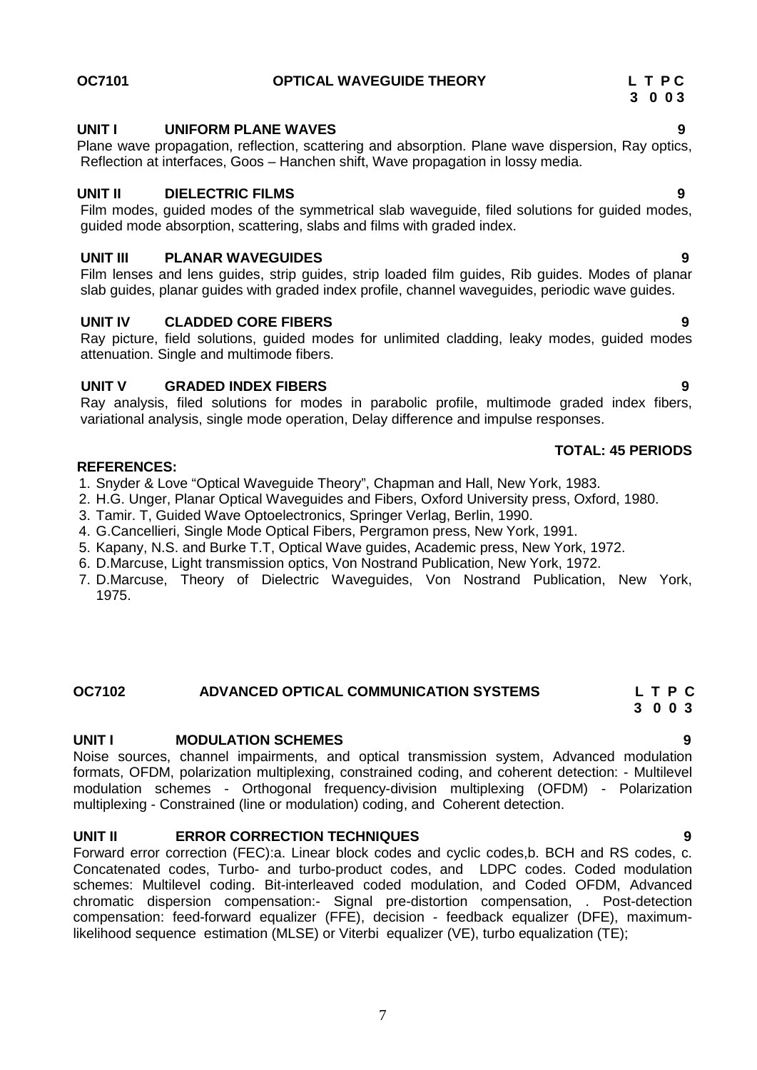#### **OC7101 OPTICAL WAVEGUIDE THEORY L T P C**

#### **UNIT I UNIFORM PLANE WAVES 9**

Plane wave propagation, reflection, scattering and absorption. Plane wave dispersion, Ray optics, Reflection at interfaces, Goos – Hanchen shift, Wave propagation in lossy media.

#### **UNIT II DIELECTRIC FILMS 9**

Film modes, guided modes of the symmetrical slab waveguide, filed solutions for guided modes, guided mode absorption, scattering, slabs and films with graded index.

#### **UNIT III PLANAR WAVEGUIDES 9**

Film lenses and lens guides, strip guides, strip loaded film guides, Rib guides. Modes of planar slab guides, planar guides with graded index profile, channel waveguides, periodic wave guides.

#### **UNIT IV CLADDED CORE FIBERS 9**

Ray picture, field solutions, guided modes for unlimited cladding, leaky modes, guided modes attenuation. Single and multimode fibers.

#### **UNIT V GRADED INDEX FIBERS 9**

Ray analysis, filed solutions for modes in parabolic profile, multimode graded index fibers, variational analysis, single mode operation, Delay difference and impulse responses.

#### **REFERENCES:**

- 1. Snyder & Love "Optical Waveguide Theory", Chapman and Hall, New York, 1983.
- 2. H.G. Unger, Planar Optical Waveguides and Fibers, Oxford University press, Oxford, 1980.
- 3. Tamir. T, Guided Wave Optoelectronics, Springer Verlag, Berlin, 1990.
- 4. G.Cancellieri, Single Mode Optical Fibers, Pergramon press, New York, 1991.
- 5. Kapany, N.S. and Burke T.T, Optical Wave guides, Academic press, New York, 1972.
- 6. D.Marcuse, Light transmission optics, Von Nostrand Publication, New York, 1972.
- 7. D.Marcuse, Theory of Dielectric Waveguides, Von Nostrand Publication, New York, 1975.

#### **OC7102 ADVANCED OPTICAL COMMUNICATION SYSTEMS L T P C**

#### **UNIT I MODULATION SCHEMES 9**

Noise sources, channel impairments, and optical transmission system, Advanced modulation formats, OFDM, polarization multiplexing, constrained coding, and coherent detection: - Multilevel modulation schemes - Orthogonal frequency-division multiplexing (OFDM) - Polarization multiplexing - Constrained (line or modulation) coding, and Coherent detection.

#### **UNIT II ERROR CORRECTION TECHNIQUES 9**

Forward error correction (FEC):a. Linear block codes and cyclic codes,b. BCH and RS codes, c. Concatenated codes, Turbo- and turbo-product codes, and LDPC codes. Coded modulation schemes: Multilevel coding. Bit-interleaved coded modulation, and Coded OFDM, Advanced chromatic dispersion compensation:- Signal pre-distortion compensation, . Post-detection compensation: feed-forward equalizer (FFE), decision - feedback equalizer (DFE), maximumlikelihood sequence estimation (MLSE) or Viterbi equalizer (VE), turbo equalization (TE);

#### **TOTAL: 45 PERIODS**

# **3 0 0 3**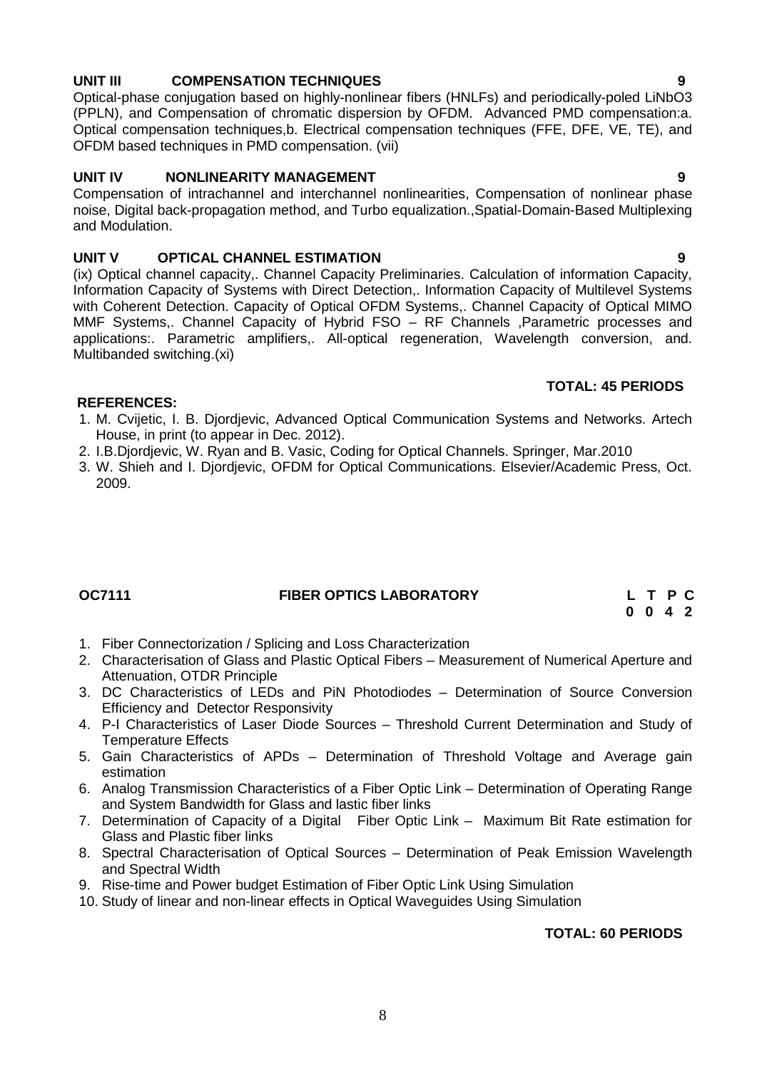### **UNIT III COMPENSATION TECHNIQUES 9**

Optical-phase conjugation based on highly-nonlinear fibers (HNLFs) and periodically-poled LiNbO3 (PPLN), and Compensation of chromatic dispersion by OFDM. Advanced PMD compensation:a. Optical compensation techniques,b. Electrical compensation techniques (FFE, DFE, VE, TE), and OFDM based techniques in PMD compensation. (vii)

#### **UNIT IV NONLINEARITY MANAGEMENT 9**

Compensation of intrachannel and interchannel nonlinearities, Compensation of nonlinear phase noise, Digital back-propagation method, and Turbo equalization.,Spatial-Domain-Based Multiplexing and Modulation.

### **UNIT V OPTICAL CHANNEL ESTIMATION 9**

(ix) Optical channel capacity,. Channel Capacity Preliminaries. Calculation of information Capacity, Information Capacity of Systems with Direct Detection,. Information Capacity of Multilevel Systems with Coherent Detection. Capacity of Optical OFDM Systems,. Channel Capacity of Optical MIMO MMF Systems,. Channel Capacity of Hybrid FSO – RF Channels ,Parametric processes and applications:. Parametric amplifiers,. All-optical regeneration, Wavelength conversion, and. Multibanded switching.(xi)

#### **TOTAL: 45 PERIODS**

#### **REFERENCES:**

- 1. M. Cvijetic, I. B. Djordjevic, Advanced Optical Communication Systems and Networks. Artech House, in print (to appear in Dec. 2012).
- 2. I.B.Djordjevic, W. Ryan and B. Vasic, Coding for Optical Channels. Springer, Mar.2010
- 3. W. Shieh and I. Djordjevic, OFDM for Optical Communications. Elsevier/Academic Press, Oct. 2009.

# **OC7111 FIBER OPTICS LABORATORY L T P C**

**0 0 4 2**

- 1. Fiber Connectorization / Splicing and Loss Characterization
- 2. Characterisation of Glass and Plastic Optical Fibers Measurement of Numerical Aperture and Attenuation, OTDR Principle
- 3. DC Characteristics of LEDs and PiN Photodiodes Determination of Source Conversion Efficiency and Detector Responsivity
- 4. P-I Characteristics of Laser Diode Sources Threshold Current Determination and Study of Temperature Effects
- 5. Gain Characteristics of APDs Determination of Threshold Voltage and Average gain estimation
- 6. Analog Transmission Characteristics of a Fiber Optic Link Determination of Operating Range and System Bandwidth for Glass and lastic fiber links
- 7. Determination of Capacity of a Digital Fiber Optic Link Maximum Bit Rate estimation for Glass and Plastic fiber links
- 8. Spectral Characterisation of Optical Sources Determination of Peak Emission Wavelength and Spectral Width
- 9. Rise-time and Power budget Estimation of Fiber Optic Link Using Simulation
- 10. Study of linear and non-linear effects in Optical Waveguides Using Simulation

# **TOTAL: 60 PERIODS**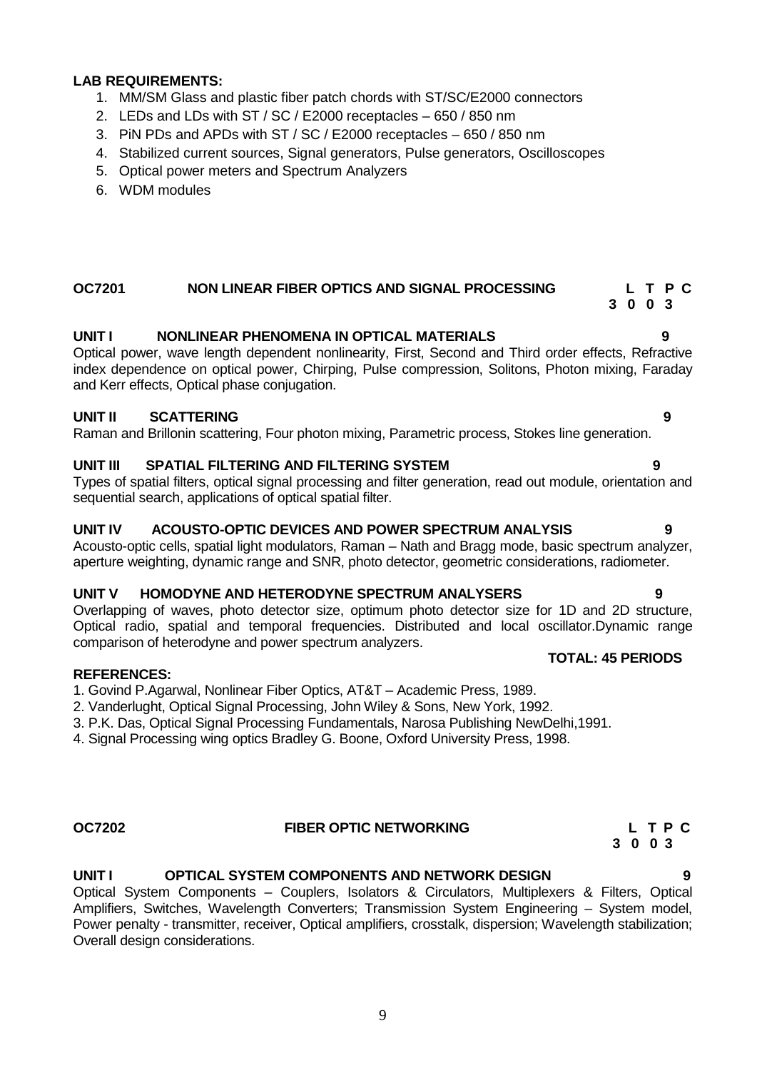### **LAB REQUIREMENTS:**

- 1. MM/SM Glass and plastic fiber patch chords with ST/SC/E2000 connectors
- 2. LEDs and LDs with ST / SC / E2000 receptacles 650 / 850 nm
- 3. PiN PDs and APDs with ST / SC / E2000 receptacles 650 / 850 nm
- 4. Stabilized current sources, Signal generators, Pulse generators, Oscilloscopes
- 5. Optical power meters and Spectrum Analyzers
- 6. WDM modules

#### **OC7201 NON LINEAR FIBER OPTICS AND SIGNAL PROCESSING L T P C 3 0 0 3**

### **UNIT I NONLINEAR PHENOMENA IN OPTICAL MATERIALS 9**

Optical power, wave length dependent nonlinearity, First, Second and Third order effects, Refractive index dependence on optical power, Chirping, Pulse compression, Solitons, Photon mixing, Faraday and Kerr effects, Optical phase conjugation.

#### **UNIT II SCATTERING 9**

Raman and Brillonin scattering, Four photon mixing, Parametric process, Stokes line generation.

#### **UNIT III SPATIAL FILTERING AND FILTERING SYSTEM 9**

Types of spatial filters, optical signal processing and filter generation, read out module, orientation and sequential search, applications of optical spatial filter.

#### **UNIT IV ACOUSTO-OPTIC DEVICES AND POWER SPECTRUM ANALYSIS 9**

Acousto-optic cells, spatial light modulators, Raman – Nath and Bragg mode, basic spectrum analyzer, aperture weighting, dynamic range and SNR, photo detector, geometric considerations, radiometer.

#### **UNIT V HOMODYNE AND HETERODYNE SPECTRUM ANALYSERS 9**

Overlapping of waves, photo detector size, optimum photo detector size for 1D and 2D structure, Optical radio, spatial and temporal frequencies. Distributed and local oscillator.Dynamic range comparison of heterodyne and power spectrum analyzers.

#### **REFERENCES:**

1. Govind P.Agarwal, Nonlinear Fiber Optics, AT&T – Academic Press, 1989.

2. Vanderlught, Optical Signal Processing, John Wiley & Sons, New York, 1992.

3. P.K. Das, Optical Signal Processing Fundamentals, Narosa Publishing NewDelhi,1991.

4. Signal Processing wing optics Bradley G. Boone, Oxford University Press, 1998.

### **OC7202 FIBER OPTIC NETWORKING L T P C**

#### **UNIT I OPTICAL SYSTEM COMPONENTS AND NETWORK DESIGN 9**

Optical System Components – Couplers, Isolators & Circulators, Multiplexers & Filters, Optical Amplifiers, Switches, Wavelength Converters; Transmission System Engineering – System model, Power penalty - transmitter, receiver, Optical amplifiers, crosstalk, dispersion; Wavelength stabilization; Overall design considerations.

#### **TOTAL: 45 PERIODS**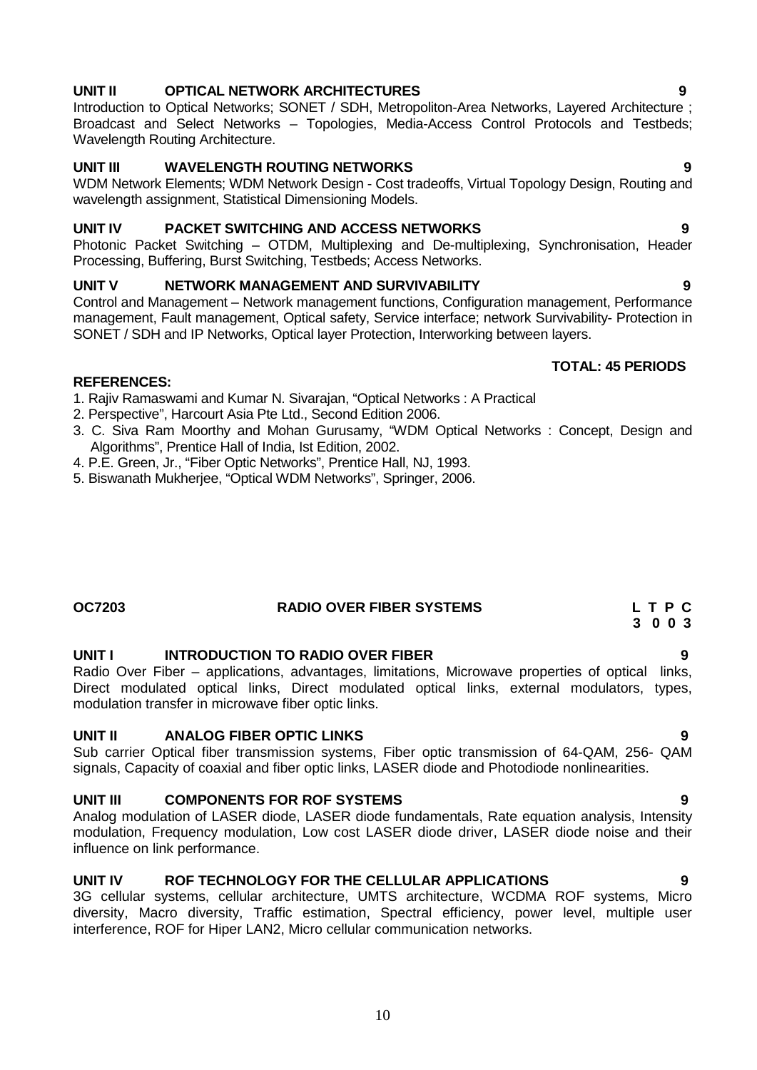# **UNIT II OPTICAL NETWORK ARCHITECTURES 9**

Introduction to Optical Networks; SONET / SDH, Metropoliton-Area Networks, Layered Architecture ; Broadcast and Select Networks – Topologies, Media-Access Control Protocols and Testbeds; Wavelength Routing Architecture.

### **UNIT III WAVELENGTH ROUTING NETWORKS 9**

WDM Network Elements; WDM Network Design - Cost tradeoffs, Virtual Topology Design, Routing and wavelength assignment, Statistical Dimensioning Models.

### **UNIT IV PACKET SWITCHING AND ACCESS NETWORKS 9**

Photonic Packet Switching – OTDM, Multiplexing and De-multiplexing, Synchronisation, Header Processing, Buffering, Burst Switching, Testbeds; Access Networks.

### **UNIT V NETWORK MANAGEMENT AND SURVIVABILITY 9**

Control and Management – Network management functions, Configuration management, Performance management, Fault management, Optical safety, Service interface; network Survivability- Protection in SONET / SDH and IP Networks, Optical layer Protection, Interworking between layers.

#### **REFERENCES:**

1. Rajiv Ramaswami and Kumar N. Sivarajan, "Optical Networks : A Practical

- 2. Perspective", Harcourt Asia Pte Ltd., Second Edition 2006.
- 3. C. Siva Ram Moorthy and Mohan Gurusamy, "WDM Optical Networks : Concept, Design and Algorithms", Prentice Hall of India, Ist Edition, 2002.
- 4. P.E. Green, Jr., "Fiber Optic Networks", Prentice Hall, NJ, 1993.
- 5. Biswanath Mukherjee, "Optical WDM Networks", Springer, 2006.

### **OC7203 RADIO OVER FIBER SYSTEMS L T P C 3 0 0 3**

# **UNIT I INTRODUCTION TO RADIO OVER FIBER 9**

Radio Over Fiber – applications, advantages, limitations, Microwave properties of optical links, Direct modulated optical links, Direct modulated optical links, external modulators, types, modulation transfer in microwave fiber optic links.

### **UNIT II ANALOG FIBER OPTIC LINKS 9**

Sub carrier Optical fiber transmission systems, Fiber optic transmission of 64-QAM, 256- QAM signals, Capacity of coaxial and fiber optic links, LASER diode and Photodiode nonlinearities.

#### **UNIT III COMPONENTS FOR ROF SYSTEMS 9**

Analog modulation of LASER diode, LASER diode fundamentals, Rate equation analysis, Intensity modulation, Frequency modulation, Low cost LASER diode driver, LASER diode noise and their influence on link performance.

#### **UNIT IV ROF TECHNOLOGY FOR THE CELLULAR APPLICATIONS 9**

3G cellular systems, cellular architecture, UMTS architecture, WCDMA ROF systems, Micro diversity, Macro diversity, Traffic estimation, Spectral efficiency, power level, multiple user interference, ROF for Hiper LAN2, Micro cellular communication networks.

**TOTAL: 45 PERIODS**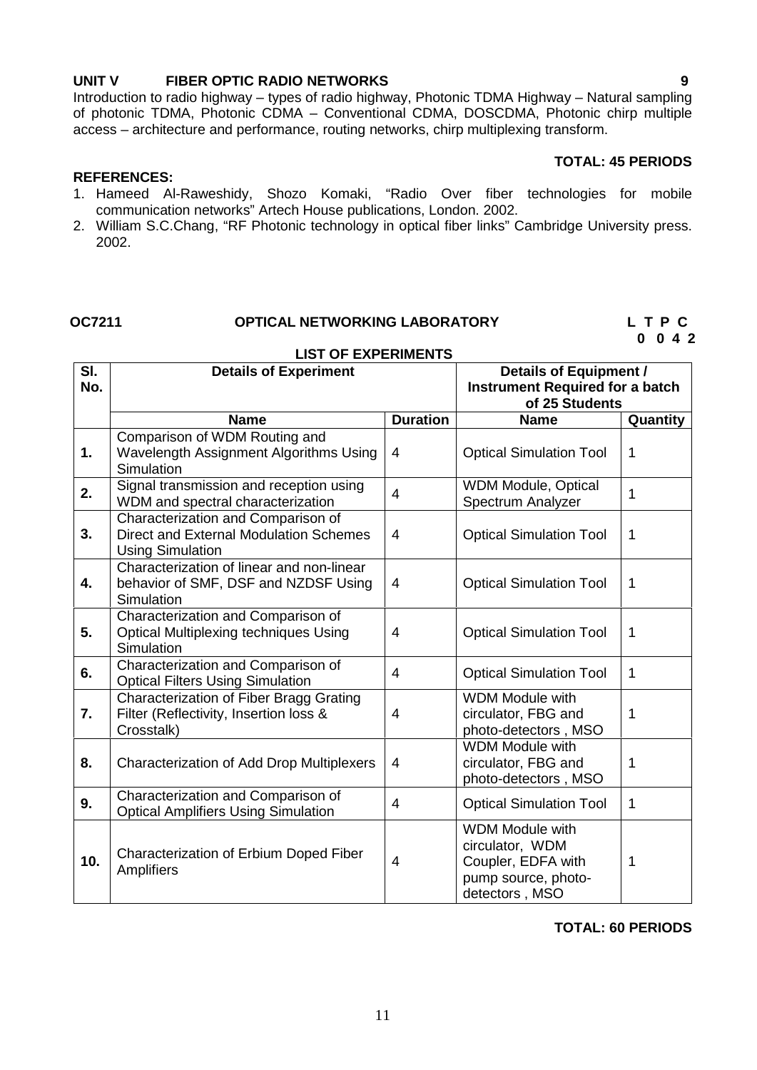#### **UNIT V FIBER OPTIC RADIO NETWORKS 9**

Introduction to radio highway – types of radio highway, Photonic TDMA Highway – Natural sampling of photonic TDMA, Photonic CDMA – Conventional CDMA, DOSCDMA, Photonic chirp multiple access – architecture and performance, routing networks, chirp multiplexing transform.

#### **TOTAL: 45 PERIODS**

#### **REFERENCES:**

- 1. Hameed Al-Raweshidy, Shozo Komaki, "Radio Over fiber technologies for mobile communication networks" Artech House publications, London. 2002.
- 2. William S.C.Chang, "RF Photonic technology in optical fiber links" Cambridge University press. 2002.

# **OC7211 OPTICAL NETWORKING LABORATORY L T P C**

**0 0 4 2**

#### **LIST OF EXPERIMENTS**

| SI.<br>No. | <b>Details of Experiment</b>                                                                            |                 | <b>Details of Equipment /</b><br><b>Instrument Required for a batch</b>                                  |             |  |  |
|------------|---------------------------------------------------------------------------------------------------------|-----------------|----------------------------------------------------------------------------------------------------------|-------------|--|--|
|            |                                                                                                         |                 | of 25 Students                                                                                           |             |  |  |
|            | <b>Name</b>                                                                                             | <b>Duration</b> | <b>Name</b>                                                                                              | Quantity    |  |  |
|            | Comparison of WDM Routing and                                                                           |                 |                                                                                                          |             |  |  |
| 1.         | Wavelength Assignment Algorithms Using<br>Simulation                                                    | $\overline{4}$  | <b>Optical Simulation Tool</b>                                                                           | $\mathbf 1$ |  |  |
| 2.         | Signal transmission and reception using<br>WDM and spectral characterization                            | $\overline{4}$  | <b>WDM Module, Optical</b><br>Spectrum Analyzer                                                          | 1           |  |  |
| 3.         | Characterization and Comparison of<br>Direct and External Modulation Schemes<br><b>Using Simulation</b> | $\overline{4}$  | <b>Optical Simulation Tool</b>                                                                           | $\mathbf 1$ |  |  |
| 4.         | Characterization of linear and non-linear<br>behavior of SMF, DSF and NZDSF Using<br>Simulation         | $\overline{4}$  | <b>Optical Simulation Tool</b>                                                                           | 1           |  |  |
| 5.         | Characterization and Comparison of<br><b>Optical Multiplexing techniques Using</b><br>Simulation        | $\overline{4}$  | <b>Optical Simulation Tool</b>                                                                           | 1           |  |  |
| 6.         | Characterization and Comparison of<br><b>Optical Filters Using Simulation</b>                           | $\overline{4}$  | <b>Optical Simulation Tool</b>                                                                           | 1           |  |  |
| 7.         | Characterization of Fiber Bragg Grating<br>Filter (Reflectivity, Insertion loss &<br>Crosstalk)         | 4               | <b>WDM Module with</b><br>circulator, FBG and<br>photo-detectors, MSO                                    | $\mathbf 1$ |  |  |
| 8.         | <b>Characterization of Add Drop Multiplexers</b>                                                        | 4               | <b>WDM Module with</b><br>circulator, FBG and<br>photo-detectors, MSO                                    | 1           |  |  |
| 9.         | Characterization and Comparison of<br><b>Optical Amplifiers Using Simulation</b>                        | $\overline{4}$  | <b>Optical Simulation Tool</b>                                                                           | $\mathbf 1$ |  |  |
| 10.        | Characterization of Erbium Doped Fiber<br>Amplifiers                                                    | $\overline{4}$  | <b>WDM Module with</b><br>circulator, WDM<br>Coupler, EDFA with<br>pump source, photo-<br>detectors, MSO | 1           |  |  |

#### **TOTAL: 60 PERIODS**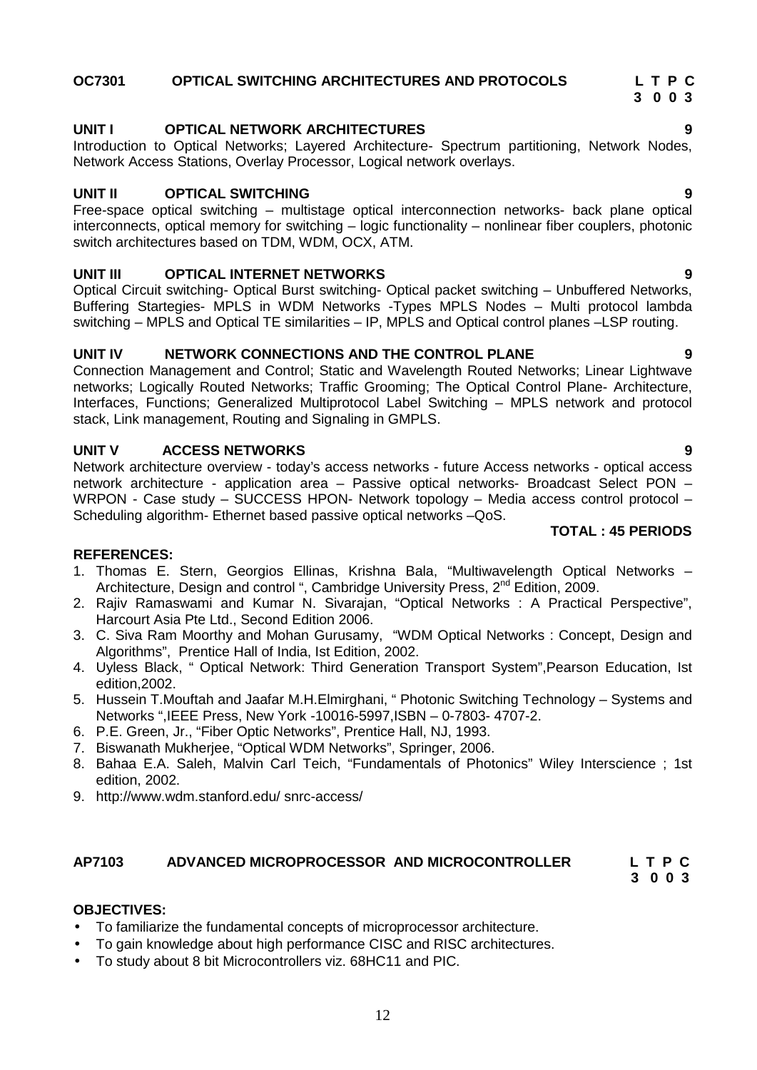# **OC7301 OPTICAL SWITCHING ARCHITECTURES AND PROTOCOLS L T P C**

## **UNIT I OPTICAL NETWORK ARCHITECTURES 9**

Introduction to Optical Networks; Layered Architecture- Spectrum partitioning, Network Nodes, Network Access Stations, Overlay Processor, Logical network overlays.

### **UNIT II OPTICAL SWITCHING 9**

Free-space optical switching – multistage optical interconnection networks- back plane optical interconnects, optical memory for switching – logic functionality – nonlinear fiber couplers, photonic switch architectures based on TDM, WDM, OCX, ATM.

### **UNIT III OPTICAL INTERNET NETWORKS 9**

Optical Circuit switching- Optical Burst switching- Optical packet switching – Unbuffered Networks, Buffering Startegies- MPLS in WDM Networks -Types MPLS Nodes – Multi protocol lambda switching – MPLS and Optical TE similarities – IP, MPLS and Optical control planes –LSP routing.

### **UNIT IV NETWORK CONNECTIONS AND THE CONTROL PLANE 9**

Connection Management and Control; Static and Wavelength Routed Networks; Linear Lightwave networks; Logically Routed Networks; Traffic Grooming; The Optical Control Plane- Architecture, Interfaces, Functions; Generalized Multiprotocol Label Switching – MPLS network and protocol stack, Link management, Routing and Signaling in GMPLS.

### **UNIT V ACCESS NETWORKS 9**

Network architecture overview - today's access networks - future Access networks - optical access<br>network architecture - application area – Passive optical networks- Broadcast Select PON – WRPON - Case study – SUCCESS HPON- Network topology – Media access control protocol – Scheduling algorithm- Ethernet based passive optical networks –QoS.

# **REFERENCES:**

- 1. Thomas E. Stern, Georgios Ellinas, Krishna Bala, "Multiwavelength Optical Networks Architecture, Design and control ", Cambridge University Press, 2<sup>nd</sup> Edition, 2009.
- 2. Rajiv Ramaswami and Kumar N. Sivarajan, "Optical Networks : A Practical Perspective", Harcourt Asia Pte Ltd., Second Edition 2006.
- 3. C. Siva Ram Moorthy and Mohan Gurusamy, "WDM Optical Networks : Concept, Design and Algorithms", Prentice Hall of India, Ist Edition, 2002.
- 4. Uyless Black, " Optical Network: Third Generation Transport System",Pearson Education, Ist edition,2002.
- 5. Hussein T.Mouftah and Jaafar M.H.Elmirghani, " Photonic Switching Technology Systems and Networks ",IEEE Press, New York -10016-5997,ISBN – 0-7803- 4707-2.
- 6. P.E. Green, Jr., "Fiber Optic Networks", Prentice Hall, NJ, 1993.
- 7. Biswanath Mukherjee, "Optical WDM Networks", Springer, 2006.
- 8. Bahaa E.A. Saleh, Malvin Carl Teich, "Fundamentals of Photonics" Wiley Interscience ; 1st edition, 2002.
- 9. http://www.wdm.stanford.edu/ snrc-access/

### **AP7103 ADVANCED MICROPROCESSOR AND MICROCONTROLLER L T P C**

**3 0 0 3**

#### **OBJECTIVES:**

- To familiarize the fundamental concepts of microprocessor architecture.
- To gain knowledge about high performance CISC and RISC architectures.
- To study about 8 bit Microcontrollers viz. 68HC11 and PIC.

### **TOTAL : 45 PERIODS**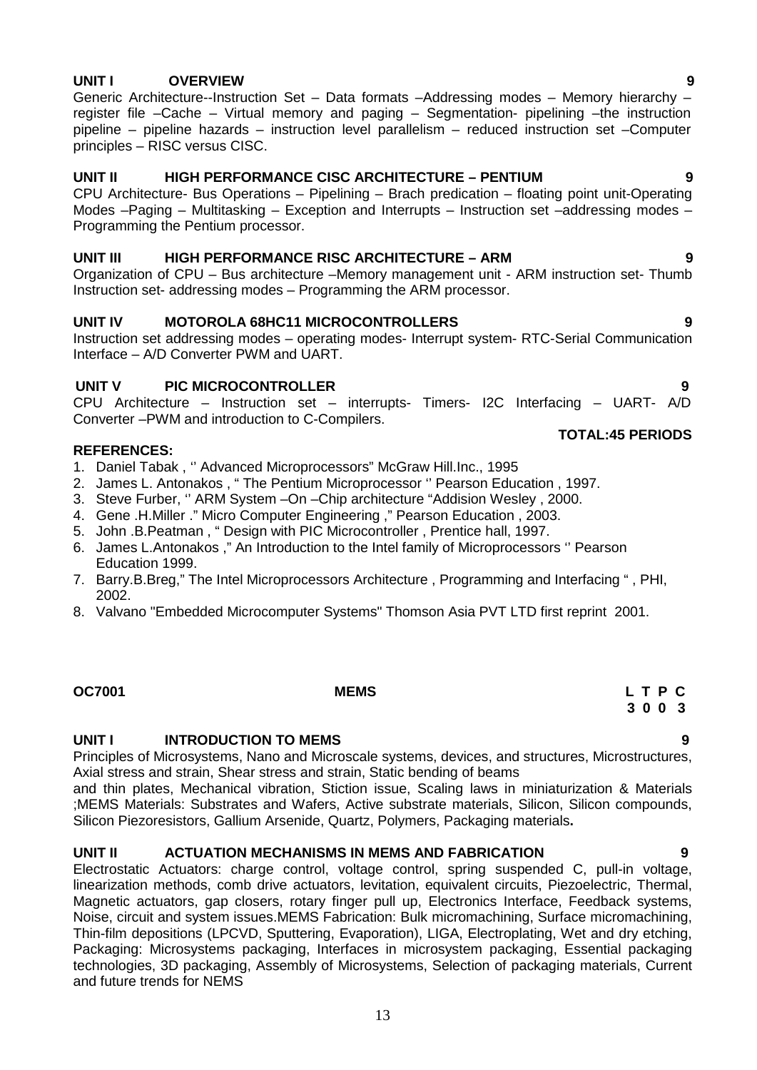# **UNIT I OVERVIEW 9**

Generic Architecture--Instruction Set – Data formats –Addressing modes – Memory hierarchy – register file –Cache – Virtual memory and paging – Segmentation- pipelining –the instruction pipeline – pipeline hazards – instruction level parallelism – reduced instruction set –Computer principles – RISC versus CISC.

### **UNIT II HIGH PERFORMANCE CISC ARCHITECTURE – PENTIUM 9**

CPU Architecture- Bus Operations – Pipelining – Brach predication – floating point unit-Operating Modes –Paging – Multitasking – Exception and Interrupts – Instruction set –addressing modes – Programming the Pentium processor.

#### **UNIT III HIGH PERFORMANCE RISC ARCHITECTURE – ARM 9**

Organization of CPU – Bus architecture –Memory management unit - ARM instruction set- Thumb Instruction set- addressing modes – Programming the ARM processor.

#### **UNIT IV MOTOROLA 68HC11 MICROCONTROLLERS 9**

Instruction set addressing modes – operating modes- Interrupt system- RTC-Serial Communication Interface – A/D Converter PWM and UART.

### **UNIT V PIC MICROCONTROLLER 9**

CPU Architecture – Instruction set – interrupts- Timers- I2C Interfacing – UART- A/D Converter –PWM and introduction to C-Compilers.

#### **REFERENCES:**

- 1. Daniel Tabak , '' Advanced Microprocessors" McGraw Hill.Inc., 1995
- 2. James L. Antonakos , " The Pentium Microprocessor '' Pearson Education , 1997.
- 3. Steve Furber, '' ARM System –On –Chip architecture "Addision Wesley , 2000.
- 4. Gene .H.Miller ." Micro Computer Engineering ," Pearson Education , 2003.
- 5. John .B.Peatman , " Design with PIC Microcontroller , Prentice hall, 1997.
- 6. James L.Antonakos ," An Introduction to the Intel family of Microprocessors '' Pearson Education 1999.
- 7. Barry.B.Breg," The Intel Microprocessors Architecture , Programming and Interfacing " , PHI, 2002.
- 8. Valvano "Embedded Microcomputer Systems" Thomson Asia PVT LTD first reprint 2001.

#### **UNIT I INTRODUCTION TO MEMS 9**

Principles of Microsystems, Nano and Microscale systems, devices, and structures, Microstructures, Axial stress and strain, Shear stress and strain, Static bending of beams

and thin plates, Mechanical vibration, Stiction issue, Scaling laws in miniaturization & Materials ;MEMS Materials: Substrates and Wafers, Active substrate materials, Silicon, Silicon compounds, Silicon Piezoresistors, Gallium Arsenide, Quartz, Polymers, Packaging materials**.**

#### **UNIT II ACTUATION MECHANISMS IN MEMS AND FABRICATION 9**

Electrostatic Actuators: charge control, voltage control, spring suspended C, pull-in voltage, linearization methods, comb drive actuators, levitation, equivalent circuits, Piezoelectric, Thermal, Magnetic actuators, gap closers, rotary finger pull up, Electronics Interface, Feedback systems, Noise, circuit and system issues.MEMS Fabrication: Bulk micromachining, Surface micromachining, Thin-film depositions (LPCVD, Sputtering, Evaporation), LIGA, Electroplating, Wet and dry etching, Packaging: Microsystems packaging, Interfaces in microsystem packaging, Essential packaging technologies, 3D packaging, Assembly of Microsystems, Selection of packaging materials, Current and future trends for NEMS

**OC7001 MEMS L T P C**

# **3 0 0 3**

**TOTAL:45 PERIODS**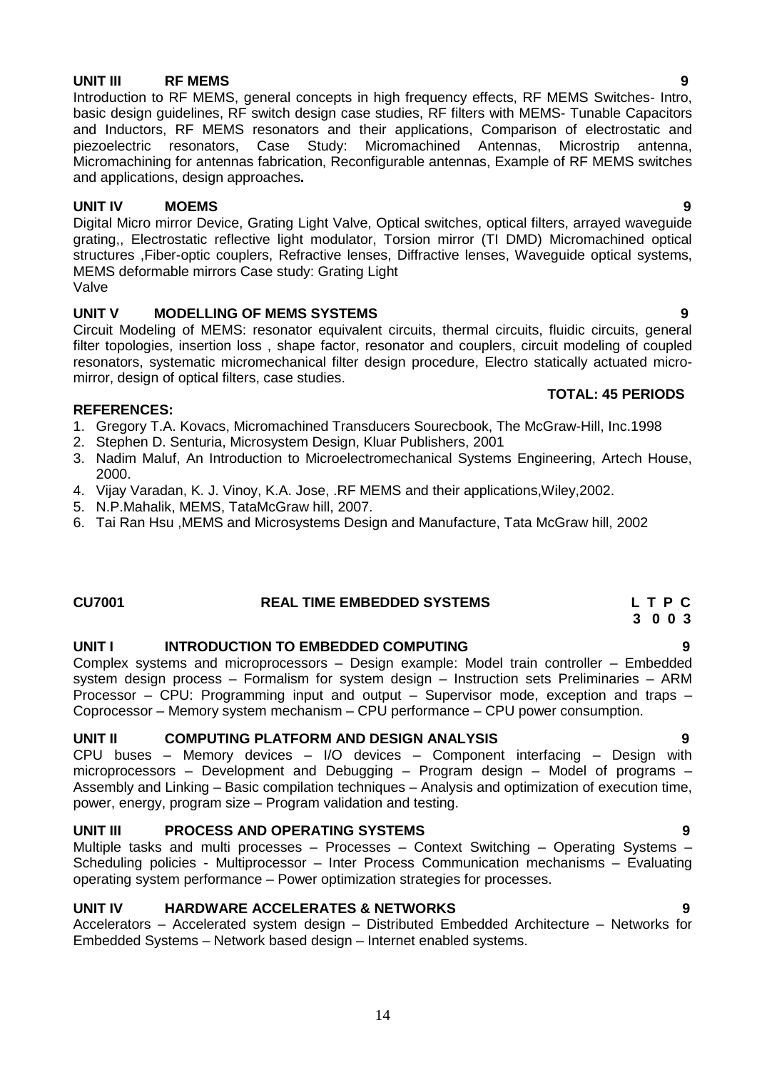**UNIT III RF MEMS 9** Introduction to RF MEMS, general concepts in high frequency effects, RF MEMS Switches- Intro, basic design guidelines, RF switch design case studies, RF filters with MEMS- Tunable Capacitors and Inductors, RF MEMS resonators and their applications, Comparison of electrostatic and piezoelectric resonators, Case Study: Micromachined Antennas, Microstrip antenna, Micromachining for antennas fabrication, Reconfigurable antennas, Example of RF MEMS switches and applications, design approaches**.**

### **UNIT IV MOEMS 9**

Digital Micro mirror Device, Grating Light Valve, Optical switches, optical filters, arrayed waveguide grating,, Electrostatic reflective light modulator, Torsion mirror (TI DMD) Micromachined optical structures ,Fiber-optic couplers, Refractive lenses, Diffractive lenses, Waveguide optical systems, MEMS deformable mirrors Case study: Grating Light Valve

### **UNIT V MODELLING OF MEMS SYSTEMS 9**

Circuit Modeling of MEMS: resonator equivalent circuits, thermal circuits, fluidic circuits, general filter topologies, insertion loss , shape factor, resonator and couplers, circuit modeling of coupled resonators, systematic micromechanical filter design procedure, Electro statically actuated micro mirror, design of optical filters, case studies.

### **REFERENCES:**

- 1. Gregory T.A. Kovacs, Micromachined Transducers Sourecbook, The McGraw-Hill, Inc.1998
- 2. Stephen D. Senturia, Microsystem Design, Kluar Publishers, 2001
- 3. Nadim Maluf, An Introduction to Microelectromechanical Systems Engineering, Artech House, 2000.
- 4. Vijay Varadan, K. J. Vinoy, K.A. Jose, .RF MEMS and their applications,Wiley,2002.
- 5. N.P.Mahalik, MEMS, TataMcGraw hill, 2007.
- 6. Tai Ran Hsu ,MEMS and Microsystems Design and Manufacture, Tata McGraw hill, 2002

### **CU7001 REAL TIME EMBEDDED SYSTEMS L T P C**

### **UNIT I INTRODUCTION TO EMBEDDED COMPUTING 9**

Complex systems and microprocessors – Design example: Model train controller – Embedded system design process – Formalism for system design – Instruction sets Preliminaries – ARM Processor – CPU: Programming input and output – Supervisor mode, exception and traps – Coprocessor – Memory system mechanism – CPU performance – CPU power consumption.

### **UNIT II COMPUTING PLATFORM AND DESIGN ANALYSIS 9**

CPU buses – Memory devices – I/O devices – Component interfacing – Design with microprocessors – Development and Debugging – Program design – Model of programs – Assembly and Linking – Basic compilation techniques – Analysis and optimization of execution time, power, energy, program size – Program validation and testing.

### **UNIT III PROCESS AND OPERATING SYSTEMS 9**

Multiple tasks and multi processes – Processes – Context Switching – Operating Systems – Scheduling policies - Multiprocessor – Inter Process Communication mechanisms – Evaluating operating system performance – Power optimization strategies for processes.

### **UNIT IV HARDWARE ACCELERATES & NETWORKS 9**

Accelerators – Accelerated system design – Distributed Embedded Architecture – Networks for Embedded Systems – Network based design – Internet enabled systems.

**3 0 0 3**

**TOTAL: 45 PERIODS**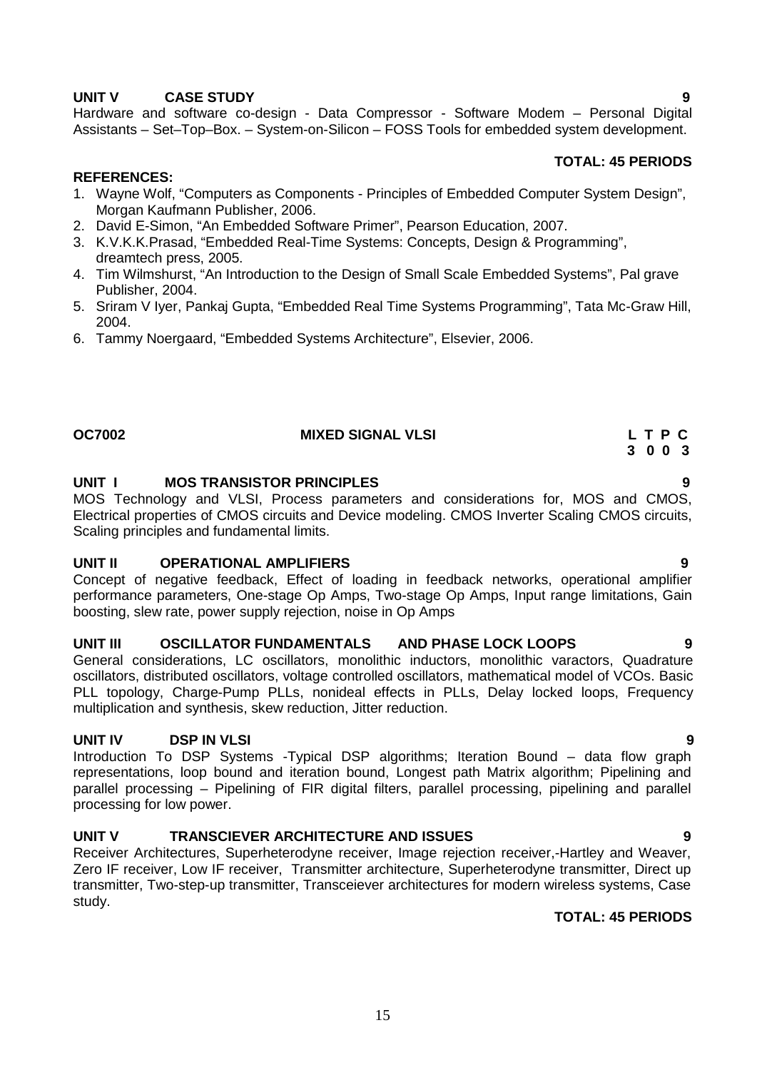# **UNIT V CASE STUDY 9**

Hardware and software co-design - Data Compressor - Software Modem – Personal Digital Assistants – Set–Top–Box. – System-on-Silicon – FOSS Tools for embedded system development.

#### **TOTAL: 45 PERIODS**

#### **REFERENCES:**

- 1. Wayne Wolf, "Computers as Components Principles of Embedded Computer System Design", Morgan Kaufmann Publisher, 2006.
- 2. David E-Simon, "An Embedded Software Primer", Pearson Education, 2007.
- 3. K.V.K.K.Prasad, "Embedded Real-Time Systems: Concepts, Design & Programming", dreamtech press, 2005.
- 4. Tim Wilmshurst, "An Introduction to the Design of Small Scale Embedded Systems", Pal grave Publisher, 2004.
- 5. Sriram V Iyer, Pankaj Gupta, "Embedded Real Time Systems Programming", Tata Mc-Graw Hill, 2004.
- 6. Tammy Noergaard, "Embedded Systems Architecture", Elsevier, 2006.

### **OC7002 MIXED SIGNAL VLSI L T P C**

#### **UNIT I MOS TRANSISTOR PRINCIPLES 9**

MOS Technology and VLSI, Process parameters and considerations for, MOS and CMOS, Electrical properties of CMOS circuits and Device modeling. CMOS Inverter Scaling CMOS circuits, Scaling principles and fundamental limits.

#### **UNIT II OPERATIONAL AMPLIFIERS 9**

Concept of negative feedback, Effect of loading in feedback networks, operational amplifier performance parameters, One-stage Op Amps, Two-stage Op Amps, Input range limitations, Gain boosting, slew rate, power supply rejection, noise in Op Amps

#### **UNIT III OSCILLATOR FUNDAMENTALS AND PHASE LOCK LOOPS 9**

General considerations, LC oscillators, monolithic inductors, monolithic varactors, Quadrature oscillators, distributed oscillators, voltage controlled oscillators, mathematical model of VCOs. Basic PLL topology, Charge-Pump PLLs, nonideal effects in PLLs, Delay locked loops, Frequency multiplication and synthesis, skew reduction, Jitter reduction.

### **UNIT IV DSP IN VLSI 9**

Introduction To DSP Systems -Typical DSP algorithms; Iteration Bound – data flow graph representations, loop bound and iteration bound, Longest path Matrix algorithm; Pipelining and parallel processing – Pipelining of FIR digital filters, parallel processing, pipelining and parallel processing for low power.

#### **UNIT V TRANSCIEVER ARCHITECTURE AND ISSUES 9**

Receiver Architectures, Superheterodyne receiver, Image rejection receiver,-Hartley and Weaver, Zero IF receiver, Low IF receiver, Transmitter architecture, Superheterodyne transmitter, Direct up transmitter, Two-step-up transmitter, Transceiever architectures for modern wireless systems, Case study.

### **TOTAL: 45 PERIODS**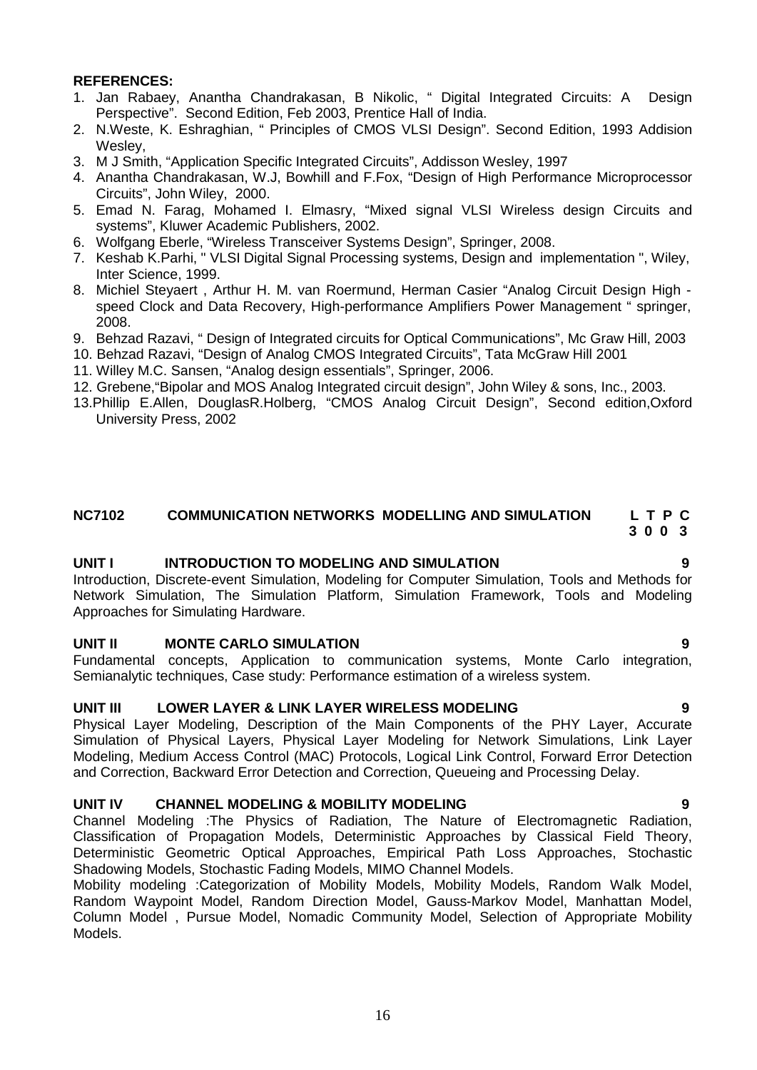#### **REFERENCES:**

- 1. Jan Rabaey, Anantha Chandrakasan, B Nikolic, " Digital Integrated Circuits: A Design Perspective". Second Edition, Feb 2003, Prentice Hall of India.
- 2. N.Weste, K. Eshraghian, " Principles of CMOS VLSI Design". Second Edition, 1993 Addision Wesley,
- 3. M J Smith, "Application Specific Integrated Circuits", Addisson Wesley, 1997
- 4. Anantha Chandrakasan, W.J, Bowhill and F.Fox, "Design of High Performance Microprocessor Circuits", John Wiley, 2000.
- 5. Emad N. Farag, Mohamed I. Elmasry, "Mixed signal VLSI Wireless design Circuits and systems", Kluwer Academic Publishers, 2002.
- 6. Wolfgang Eberle, "Wireless Transceiver Systems Design", Springer, 2008.
- 7. Keshab K.Parhi, " VLSI Digital Signal Processing systems, Design and implementation ", Wiley, Inter Science, 1999.
- 8. Michiel Steyaert , Arthur H. M. van Roermund, Herman Casier "Analog Circuit Design High speed Clock and Data Recovery, High-performance Amplifiers Power Management " springer, 2008.
- 9. Behzad Razavi, " Design of Integrated circuits for Optical Communications", Mc Graw Hill, 2003
- 10. Behzad Razavi, "Design of Analog CMOS Integrated Circuits", Tata McGraw Hill 2001
- 11. Willey M.C. Sansen, "Analog design essentials", Springer, 2006.
- 12. Grebene,"Bipolar and MOS Analog Integrated circuit design", John Wiley & sons, Inc., 2003.
- 13.Phillip E.Allen, DouglasR.Holberg, "CMOS Analog Circuit Design", Second edition,Oxford University Press, 2002

#### **NC7102 COMMUNICATION NETWORKS MODELLING AND SIMULATION L T P C 3 0 0 3**

#### **UNIT I INTRODUCTION TO MODELING AND SIMULATION 9**

Introduction, Discrete-event Simulation, Modeling for Computer Simulation, Tools and Methods for Network Simulation, The Simulation Platform, Simulation Framework, Tools and Modeling Approaches for Simulating Hardware.

#### **UNIT II MONTE CARLO SIMULATION 9**

Fundamental concepts, Application to communication systems, Monte Carlo integration, Semianalytic techniques, Case study: Performance estimation of a wireless system.

#### **UNIT III LOWER LAYER & LINK LAYER WIRELESS MODELING 9**

Physical Layer Modeling, Description of the Main Components of the PHY Layer, Accurate Simulation of Physical Layers, Physical Layer Modeling for Network Simulations, Link Layer Modeling, Medium Access Control (MAC) Protocols, Logical Link Control, Forward Error Detection and Correction, Backward Error Detection and Correction, Queueing and Processing Delay.

#### **UNIT IV CHANNEL MODELING & MOBILITY MODELING 9**

Channel Modeling :The Physics of Radiation, The Nature of Electromagnetic Radiation, Classification of Propagation Models, Deterministic Approaches by Classical Field Theory, Deterministic Geometric Optical Approaches, Empirical Path Loss Approaches, Stochastic Shadowing Models, Stochastic Fading Models, MIMO Channel Models.

Mobility modeling :Categorization of Mobility Models, Mobility Models, Random Walk Model, Random Waypoint Model, Random Direction Model, Gauss-Markov Model, Manhattan Model, Column Model , Pursue Model, Nomadic Community Model, Selection of Appropriate Mobility Models.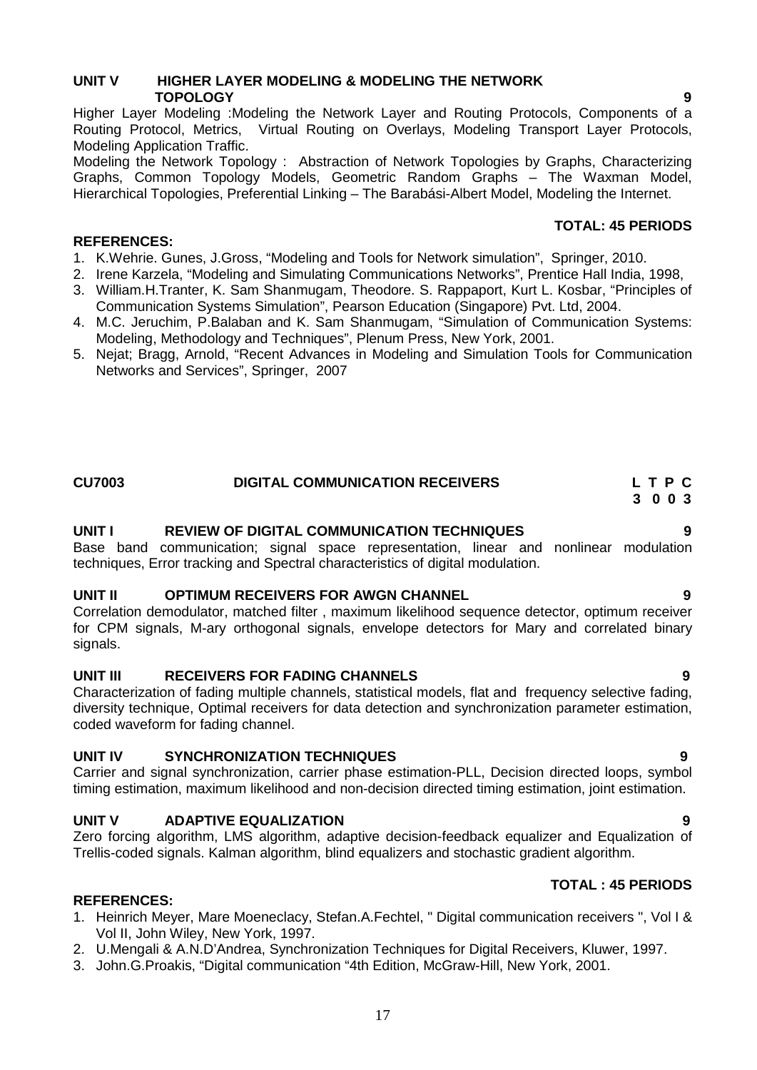### **UNIT V HIGHER LAYER MODELING & MODELING THE NETWORK TOPOLOGY 9**

Higher Layer Modeling :Modeling the Network Layer and Routing Protocols, Components of a Routing Protocol, Metrics, Virtual Routing on Overlays, Modeling Transport Layer Protocols, Modeling Application Traffic.

Modeling the Network Topology : Abstraction of Network Topologies by Graphs, Characterizing Graphs, Common Topology Models, Geometric Random Graphs – The Waxman Model, Hierarchical Topologies, Preferential Linking – The Barabási-Albert Model, Modeling the Internet.

#### **REFERENCES:**

- 1. K.Wehrie. Gunes, J.Gross, "Modeling and Tools for Network simulation", Springer, 2010.
- 2. Irene Karzela, "Modeling and Simulating Communications Networks", Prentice Hall India, 1998,
- 3. William.H.Tranter, K. Sam Shanmugam, Theodore. S. Rappaport, Kurt L. Kosbar, "Principles of Communication Systems Simulation", Pearson Education (Singapore) Pvt. Ltd, 2004.
- 4. M.C. Jeruchim, P.Balaban and K. Sam Shanmugam, "Simulation of Communication Systems: Modeling, Methodology and Techniques", Plenum Press, New York, 2001.
- 5. Nejat; Bragg, Arnold, "Recent Advances in Modeling and Simulation Tools for Communication Networks and Services", Springer, 2007

#### **UNIT I REVIEW OF DIGITAL COMMUNICATION TECHNIQUES 9**

Base band communication; signal space representation, linear and nonlinear modulation techniques, Error tracking and Spectral characteristics of digital modulation.

#### **UNIT II OPTIMUM RECEIVERS FOR AWGN CHANNEL 9**

Correlation demodulator, matched filter , maximum likelihood sequence detector, optimum receiver for CPM signals, M-ary orthogonal signals, envelope detectors for Mary and correlated binary signals.

#### **UNIT III RECEIVERS FOR FADING CHANNELS 9**

Characterization of fading multiple channels, statistical models, flat and frequency selective fading. diversity technique, Optimal receivers for data detection and synchronization parameter estimation, coded waveform for fading channel.

#### **UNIT IV SYNCHRONIZATION TECHNIQUES 9**

Carrier and signal synchronization, carrier phase estimation-PLL, Decision directed loops, symbol timing estimation, maximum likelihood and non-decision directed timing estimation, joint estimation.

#### **UNIT V ADAPTIVE EQUALIZATION 9**

Zero forcing algorithm, LMS algorithm, adaptive decision-feedback equalizer and Equalization of Trellis-coded signals. Kalman algorithm, blind equalizers and stochastic gradient algorithm.

# **TOTAL : 45 PERIODS**

#### **REFERENCES:**

- 1. Heinrich Meyer, Mare Moeneclacy, Stefan.A.Fechtel, " Digital communication receivers ", Vol I & Vol II, John Wiley, New York, 1997.
- 2. U.Mengali & A.N.D'Andrea, Synchronization Techniques for Digital Receivers, Kluwer, 1997.
- 3. John.G.Proakis, "Digital communication "4th Edition, McGraw-Hill, New York, 2001.

### **TOTAL: 45 PERIODS**

# **CU7003 DIGITAL COMMUNICATION RECEIVERS L T P C 3 0 0 3**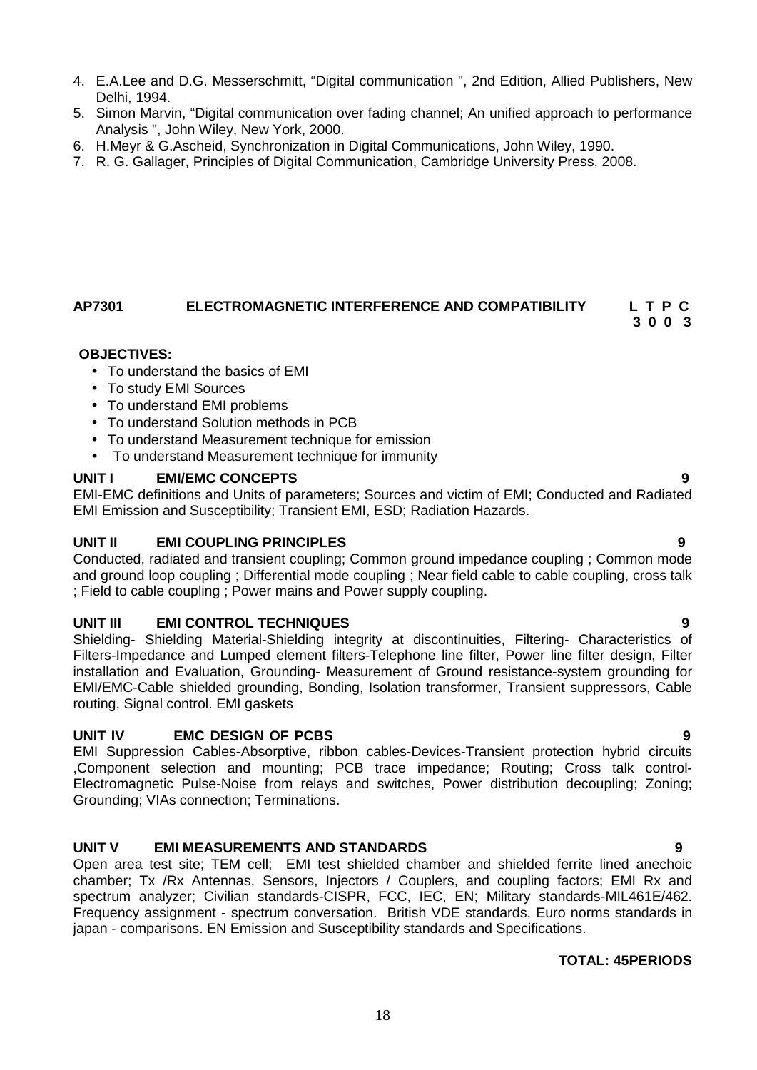- 4. E.A.Lee and D.G. Messerschmitt, "Digital communication ", 2nd Edition, Allied Publishers, New Delhi, 1994.
- 5. Simon Marvin, "Digital communication over fading channel; An unified approach to performance Analysis ", John Wiley, New York, 2000.
- 6. H.Meyr & G.Ascheid, Synchronization in Digital Communications, John Wiley, 1990.
- 7. R. G. Gallager, Principles of Digital Communication, Cambridge University Press, 2008.

# **AP7301 ELECTROMAGNETIC INTERFERENCE AND COMPATIBILITY L T P C**

## **3 0 0 3**

### **OBJECTIVES:**

- To understand the basics of EMI
- To study EMI Sources
- To understand EMI problems
- To understand Solution methods in PCB
- To understand Measurement technique for emission
- To understand Measurement technique for immunity

### **UNIT I EMI/EMC CONCEPTS 9**

EMI-EMC definitions and Units of parameters; Sources and victim of EMI; Conducted and Radiated EMI Emission and Susceptibility; Transient EMI, ESD; Radiation Hazards.

### **UNIT II EMI COUPLING PRINCIPLES 9**

Conducted, radiated and transient coupling; Common ground impedance coupling ; Common mode and ground loop coupling ; Differential mode coupling ; Near field cable to cable coupling, cross talk ; Field to cable coupling ; Power mains and Power supply coupling.

### **UNIT III EMI CONTROL TECHNIQUES 9**

Shielding- Shielding Material-Shielding integrity at discontinuities, Filtering- Characteristics of Filters-Impedance and Lumped element filters-Telephone line filter, Power line filter design, Filter installation and Evaluation, Grounding- Measurement of Ground resistance-system grounding for EMI/EMC-Cable shielded grounding, Bonding, Isolation transformer, Transient suppressors, Cable routing, Signal control. EMI gaskets

### **UNIT IV EMC DESIGN OF PCBS 9**

EMI Suppression Cables-Absorptive, ribbon cables-Devices-Transient protection hybrid circuits ,Component selection and mounting; PCB trace impedance; Routing; Cross talk control- Electromagnetic Pulse-Noise from relays and switches, Power distribution decoupling; Zoning; Grounding; VIAs connection; Terminations.

### **UNIT V EMI MEASUREMENTS AND STANDARDS 9**

Open area test site; TEM cell; EMI test shielded chamber and shielded ferrite lined anechoic chamber; Tx /Rx Antennas, Sensors, Injectors / Couplers, and coupling factors; EMI Rx and spectrum analyzer; Civilian standards-CISPR, FCC, IEC, EN; Military standards-MIL461E/462. Frequency assignment - spectrum conversation. British VDE standards, Euro norms standards in japan - comparisons. EN Emission and Susceptibility standards and Specifications.

### **TOTAL: 45PERIODS**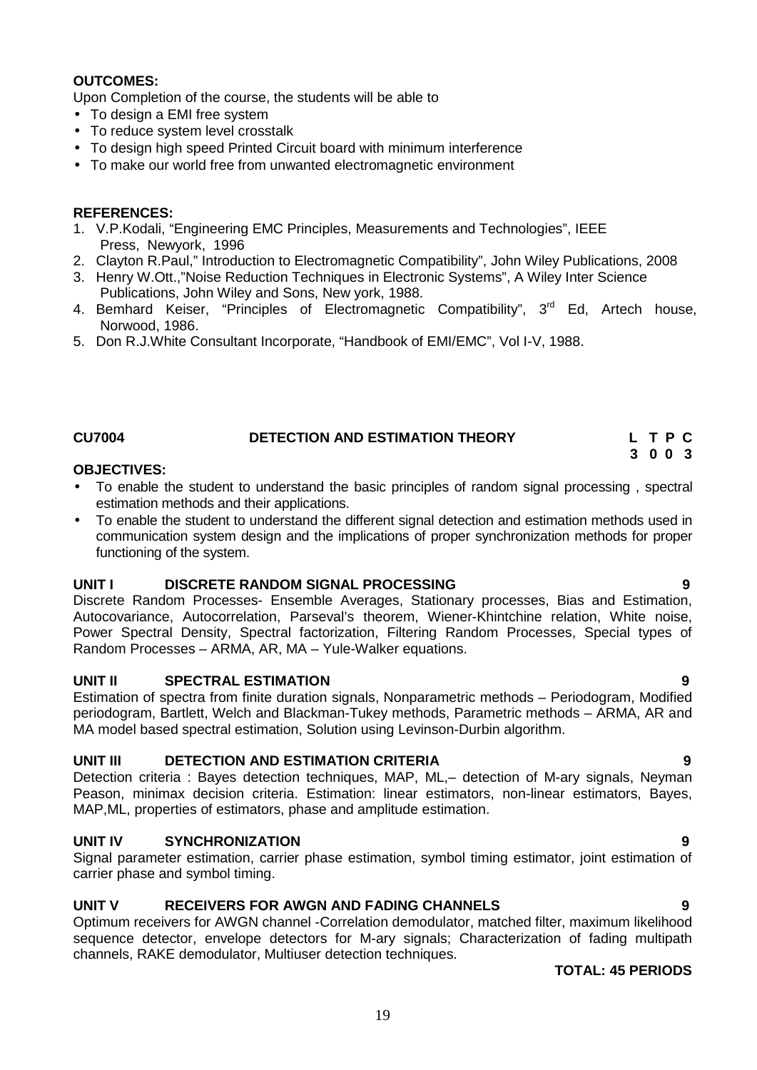### **OUTCOMES:**

Upon Completion of the course, the students will be able to

- To design a EMI free system
- To reduce system level crosstalk
- To design high speed Printed Circuit board with minimum interference
- To make our world free from unwanted electromagnetic environment

#### **REFERENCES:**

- 1. V.P.Kodali, "Engineering EMC Principles, Measurements and Technologies", IEEE Press, Newyork, 1996
- 2. Clayton R.Paul," Introduction to Electromagnetic Compatibility", John Wiley Publications, 2008
- 3. Henry W.Ott.,"Noise Reduction Techniques in Electronic Systems", A Wiley Inter Science Publications, John Wiley and Sons, New york, 1988.
- 4. Bemhard Keiser, "Principles of Electromagnetic Compatibility", 3<sup>rd</sup> Ed, Artech house, Norwood, 1986.
- 5. Don R.J.White Consultant Incorporate, "Handbook of EMI/EMC", Vol I-V, 1988.

#### **CU7004 DETECTION AND ESTIMATION THEORY L T P C**

#### **OBJECTIVES:**

- To enable the student to understand the basic principles of random signal processing , spectral estimation methods and their applications.
- To enable the student to understand the different signal detection and estimation methods used in communication system design and the implications of proper synchronization methods for proper functioning of the system.

#### **UNIT I DISCRETE RANDOM SIGNAL PROCESSING 9**

Discrete Random Processes- Ensemble Averages, Stationary processes, Bias and Estimation, Autocovariance, Autocorrelation, Parseval's theorem, Wiener-Khintchine relation, White noise, Power Spectral Density, Spectral factorization, Filtering Random Processes, Special types of Random Processes – ARMA, AR, MA – Yule-Walker equations.

#### **UNIT II SPECTRAL ESTIMATION 9**

Estimation of spectra from finite duration signals, Nonparametric methods – Periodogram, Modified periodogram, Bartlett, Welch and Blackman-Tukey methods, Parametric methods – ARMA, AR and MA model based spectral estimation, Solution using Levinson-Durbin algorithm.

### **UNIT III DETECTION AND ESTIMATION CRITERIA 9**

Detection criteria : Bayes detection techniques, MAP, ML,– detection of M-ary signals, Neyman Peason, minimax decision criteria. Estimation: linear estimators, non-linear estimators, Bayes, MAP,ML, properties of estimators, phase and amplitude estimation.

#### **UNIT IV SYNCHRONIZATION 9**

Signal parameter estimation, carrier phase estimation, symbol timing estimator, joint estimation of carrier phase and symbol timing.

#### **UNIT V RECEIVERS FOR AWGN AND FADING CHANNELS 9**

Optimum receivers for AWGN channel -Correlation demodulator, matched filter, maximum likelihood sequence detector, envelope detectors for M-ary signals; Characterization of fading multipath channels, RAKE demodulator, Multiuser detection techniques.

**TOTAL: 45 PERIODS**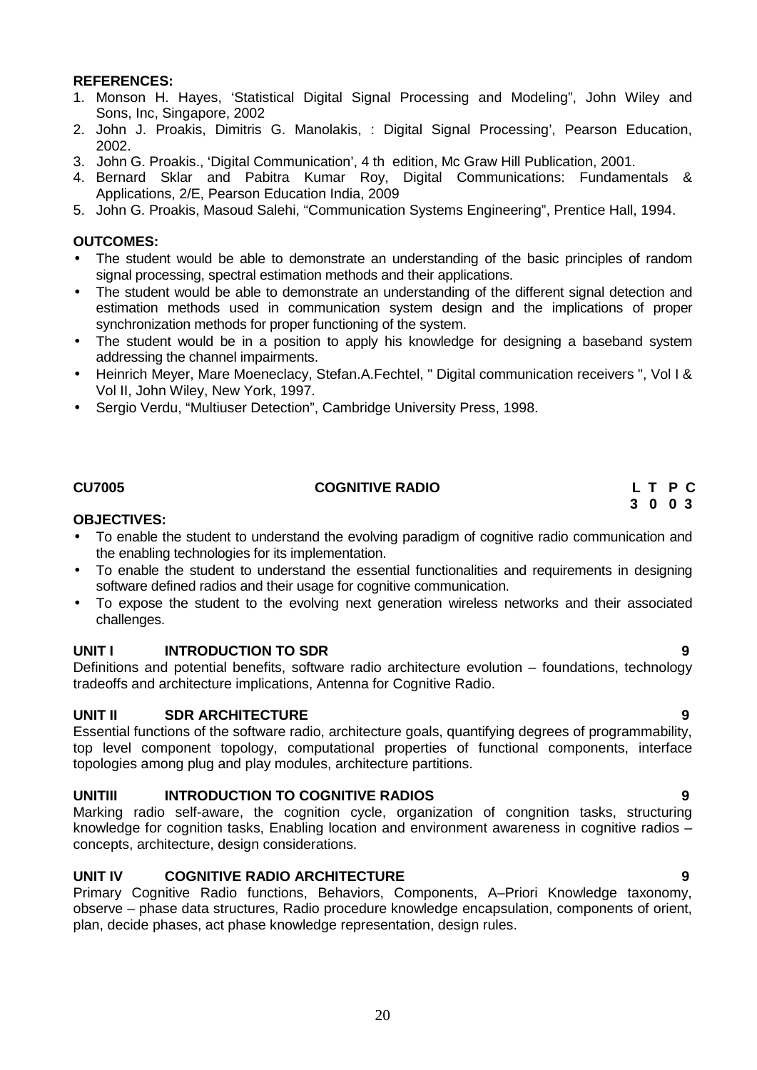#### **REFERENCES:**

- 1. Monson H. Hayes, 'Statistical Digital Signal Processing and Modeling", John Wiley and Sons, Inc, Singapore, 2002
- 2. John J. Proakis, Dimitris G. Manolakis, : Digital Signal Processing', Pearson Education, 2002.
- 3. John G. Proakis., 'Digital Communication', 4 th edition, Mc Graw Hill Publication, 2001.
- 4. Bernard Sklar and Pabitra Kumar Roy, Digital Communications: Fundamentals & Applications, 2/E, Pearson Education India, 2009
- 5. John G. Proakis, Masoud Salehi, "Communication Systems Engineering", Prentice Hall, 1994.

#### **OUTCOMES:**

- The student would be able to demonstrate an understanding of the basic principles of random signal processing, spectral estimation methods and their applications.
- The student would be able to demonstrate an understanding of the different signal detection and estimation methods used in communication system design and the implications of proper synchronization methods for proper functioning of the system.
- The student would be in a position to apply his knowledge for designing a baseband system addressing the channel impairments.
- Heinrich Meyer, Mare Moeneclacy, Stefan.A.Fechtel, " Digital communication receivers ", Vol I & Vol II, John Wiley, New York, 1997.
- Sergio Verdu, "Multiuser Detection", Cambridge University Press, 1998.

## **CU7005 COGNITIVE RADIO L T P C**

#### **OBJECTIVES:**

- To enable the student to understand the evolving paradigm of cognitive radio communication and the enabling technologies for its implementation.
- To enable the student to understand the essential functionalities and requirements in designing software defined radios and their usage for cognitive communication.
- To expose the student to the evolving next generation wireless networks and their associated challenges.

#### **UNIT I INTRODUCTION TO SDR 9**

Definitions and potential benefits, software radio architecture evolution – foundations, technology tradeoffs and architecture implications, Antenna for Cognitive Radio.

#### **UNIT II SDR ARCHITECTURE 9**

Essential functions of the software radio, architecture goals, quantifying degrees of programmability, top level component topology, computational properties of functional components, interface topologies among plug and play modules, architecture partitions.

#### **UNITIII INTRODUCTION TO COGNITIVE RADIOS 9**

Marking radio self-aware, the cognition cycle, organization of congnition tasks, structuring knowledge for cognition tasks. Enabling location and environment awareness in cognitive radios – concepts, architecture, design considerations.

#### **UNIT IV COGNITIVE RADIO ARCHITECTURE 9**

Primary Cognitive Radio functions, Behaviors, Components, A–Priori Knowledge taxonomy, observe – phase data structures, Radio procedure knowledge encapsulation, components of orient, plan, decide phases, act phase knowledge representation, design rules.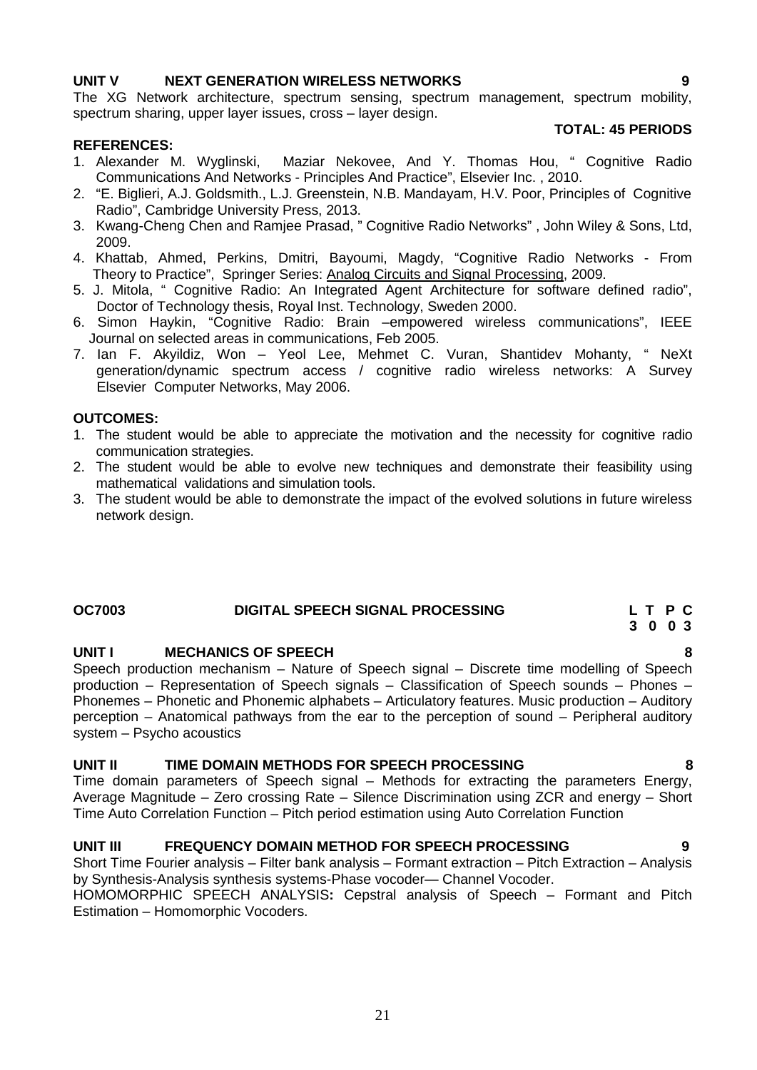#### **UNIT V NEXT GENERATION WIRELESS NETWORKS 9**

The XG Network architecture, spectrum sensing, spectrum management, spectrum mobility, spectrum sharing, upper layer issues, cross – layer design.

#### **REFERENCES:**

#### **TOTAL: 45 PERIODS**

- 1. Alexander M. Wyglinski, Maziar Nekovee, And Y. Thomas Hou, " Cognitive Radio Communications And Networks - Principles And Practice", Elsevier Inc. , 2010.
- 2. "E. Biglieri, A.J. Goldsmith., L.J. Greenstein, N.B. Mandayam, H.V. Poor, Principles of Cognitive Radio", Cambridge University Press, 2013.
- 3. Kwang-Cheng Chen and Ramjee Prasad, " Cognitive Radio Networks" , John Wiley & Sons, Ltd, 2009.
- 4. Khattab, Ahmed, Perkins, Dmitri, Bayoumi, Magdy, "Cognitive Radio Networks From Theory to Practice", Springer Series: Analog Circuits and Signal Processing, 2009.
- 5. J. Mitola, " Cognitive Radio: An Integrated Agent Architecture for software defined radio", Doctor of Technology thesis, Royal Inst. Technology, Sweden 2000.
- 6. Simon Haykin, "Cognitive Radio: Brain –empowered wireless communications", IEEE Journal on selected areas in communications, Feb 2005.
- 7. Ian F. Akyildiz, Won Yeol Lee, Mehmet C. Vuran, Shantidev Mohanty, " NeXt generation/dynamic spectrum access / cognitive radio wireless networks: A Survey Elsevier Computer Networks, May 2006.

#### **OUTCOMES:**

- 1. The student would be able to appreciate the motivation and the necessity for cognitive radio communication strategies.
- 2. The student would be able to evolve new techniques and demonstrate their feasibility using mathematical validations and simulation tools.
- 3. The student would be able to demonstrate the impact of the evolved solutions in future wireless network design.

#### **OC7003 DIGITAL SPEECH SIGNAL PROCESSING L T P C**

#### **UNIT I MECHANICS OF SPEECH 8**

Speech production mechanism – Nature of Speech signal – Discrete time modelling of Speech production – Representation of Speech signals – Classification of Speech sounds – Phones – Phonemes – Phonetic and Phonemic alphabets – Articulatory features. Music production – Auditory perception – Anatomical pathways from the ear to the perception of sound – Peripheral auditory system – Psycho acoustics

#### **UNIT II TIME DOMAIN METHODS FOR SPEECH PROCESSING 8**

Time domain parameters of Speech signal – Methods for extracting the parameters Energy, Average Magnitude – Zero crossing Rate – Silence Discrimination using ZCR and energy – Short Time Auto Correlation Function – Pitch period estimation using Auto Correlation Function

#### **UNIT III FREQUENCY DOMAIN METHOD FOR SPEECH PROCESSING 9**

Short Time Fourier analysis – Filter bank analysis – Formant extraction – Pitch Extraction – Analysis by Synthesis-Analysis synthesis systems-Phase vocoder— Channel Vocoder.

HOMOMORPHIC SPEECH ANALYSIS**:** Cepstral analysis of Speech – Formant and Pitch Estimation – Homomorphic Vocoders.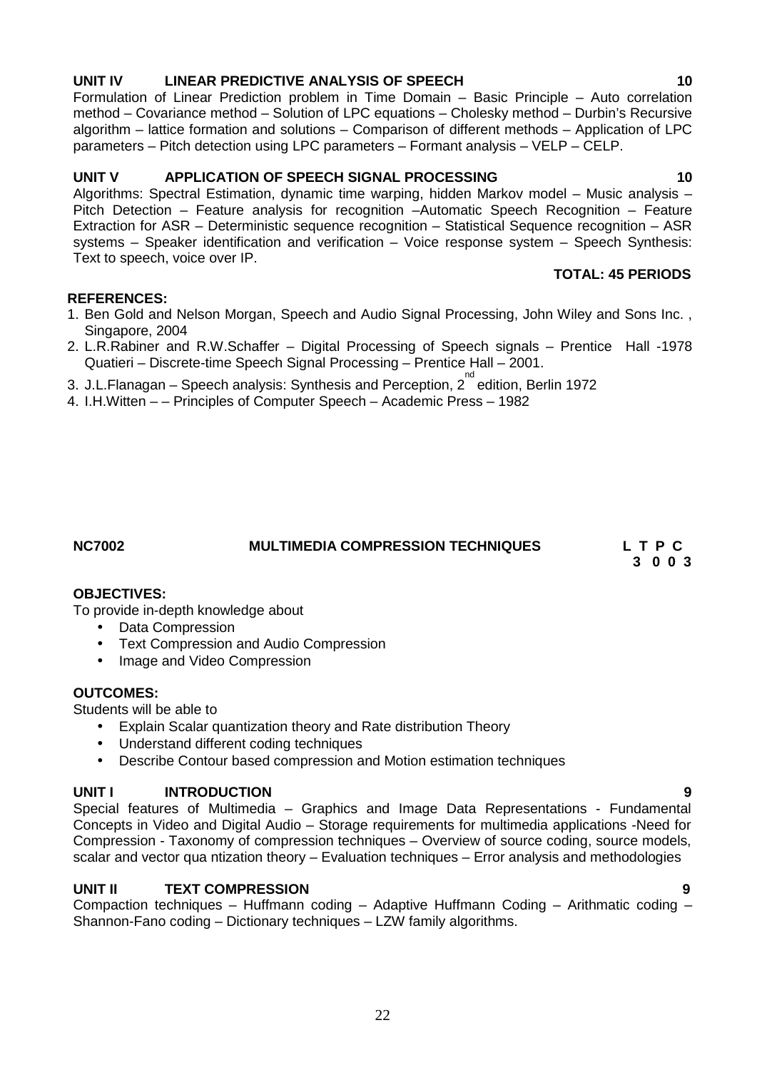### **UNIT IV LINEAR PREDICTIVE ANALYSIS OF SPEECH 10**

Formulation of Linear Prediction problem in Time Domain – Basic Principle – Auto correlation method – Covariance method – Solution of LPC equations – Cholesky method – Durbin's Recursive algorithm – lattice formation and solutions – Comparison of different methods – Application of LPC parameters – Pitch detection using LPC parameters – Formant analysis – VELP – CELP.

### **UNIT V APPLICATION OF SPEECH SIGNAL PROCESSING 10**

Algorithms: Spectral Estimation, dynamic time warping, hidden Markov model – Music analysis – Pitch Detection – Feature analysis for recognition –Automatic Speech Recognition – Feature Extraction for ASR – Deterministic sequence recognition – Statistical Sequence recognition – ASR systems – Speaker identification and verification – Voice response system – Speech Synthesis: Text to speech, voice over IP.

### **REFERENCES:**

- 1. Ben Gold and Nelson Morgan, Speech and Audio Signal Processing, John Wiley and Sons Inc. , Singapore, 2004
- 2. L.R.Rabiner and R.W.Schaffer Digital Processing of Speech signals Prentice Hall -1978 Quatieri – Discrete-time Speech Signal Processing – Prentice Hall – 2001.
- 3. J.L.Flanagan Speech analysis: Synthesis and Perception, 2 nd edition, Berlin 1972
- 4. I.H.Witten – Principles of Computer Speech Academic Press 1982

#### **NC7002 MULTIMEDIA COMPRESSION TECHNIQUES L T P C**

**3 0 0 3**

**TOTAL: 45 PERIODS**

#### **OBJECTIVES:**

To provide in-depth knowledge about

- Data Compression
- Text Compression and Audio Compression
- Image and Video Compression

### **OUTCOMES:**

Students will be able to

- Explain Scalar quantization theory and Rate distribution Theory
- Understand different coding techniques
- Describe Contour based compression and Motion estimation techniques

### **UNIT I INTRODUCTION 9**

Special features of Multimedia – Graphics and Image Data Representations - Fundamental Concepts in Video and Digital Audio – Storage requirements for multimedia applications -Need for Compression - Taxonomy of compression techniques – Overview of source coding, source models, scalar and vector qua ntization theory – Evaluation techniques – Error analysis and methodologies

#### **UNIT II TEXT COMPRESSION 9**

Compaction techniques – Huffmann coding – Adaptive Huffmann Coding – Arithmatic coding – Shannon-Fano coding – Dictionary techniques – LZW family algorithms.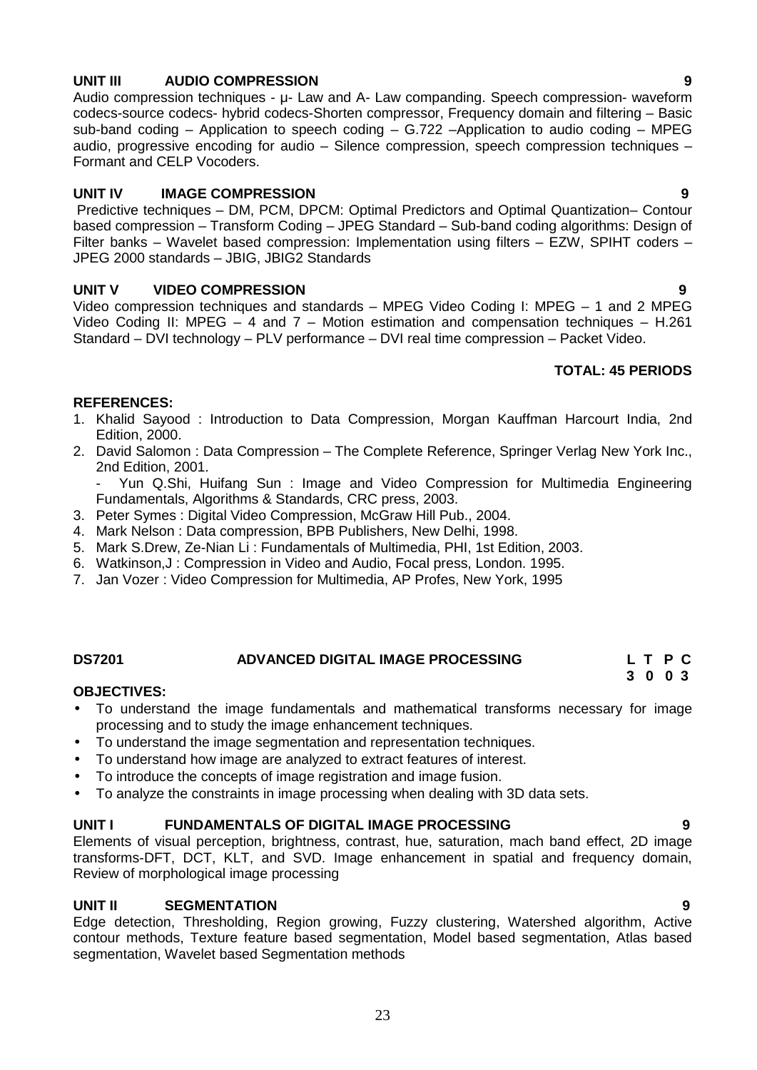# **UNIT III AUDIO COMPRESSION 9**

Audio compression techniques - μ- Law and A- Law companding. Speech compression- waveform codecs-source codecs- hybrid codecs-Shorten compressor, Frequency domain and filtering – Basic sub-band coding – Application to speech coding – G.722 –Application to audio coding – MPEG audio, progressive encoding for audio – Silence compression, speech compression techniques – Formant and CELP Vocoders.

### **UNIT IV IMAGE COMPRESSION 9**

Predictive techniques – DM, PCM, DPCM: Optimal Predictors and Optimal Quantization– Contour based compression – Transform Coding – JPEG Standard – Sub-band coding algorithms: Design of Filter banks – Wavelet based compression: Implementation using filters – EZW, SPIHT coders – JPEG 2000 standards – JBIG, JBIG2 Standards

### **UNIT V VIDEO COMPRESSION 9**

Video compression techniques and standards – MPEG Video Coding I: MPEG – 1 and 2 MPEG Video Coding II: MPEG – 4 and 7 – Motion estimation and compensation techniques – H.261 Standard – DVI technology – PLV performance – DVI real time compression – Packet Video.

### **TOTAL: 45 PERIODS**

#### **REFERENCES:**

- 1. Khalid Sayood : Introduction to Data Compression, Morgan Kauffman Harcourt India, 2nd Edition, 2000.
- 2. David Salomon : Data Compression The Complete Reference, Springer Verlag New York Inc., 2nd Edition, 2001.

- Yun Q.Shi, Huifang Sun : Image and Video Compression for Multimedia Engineering Fundamentals, Algorithms & Standards, CRC press, 2003.

- 3. Peter Symes : Digital Video Compression, McGraw Hill Pub., 2004.
- 4. Mark Nelson : Data compression, BPB Publishers, New Delhi, 1998.
- 5. Mark S.Drew, Ze-Nian Li : Fundamentals of Multimedia, PHI, 1st Edition, 2003.
- 6. Watkinson,J : Compression in Video and Audio, Focal press, London. 1995.
- 7. Jan Vozer : Video Compression for Multimedia, AP Profes, New York, 1995

#### **DS7201 ADVANCED DIGITAL IMAGE PROCESSING L T P C**

#### **OBJECTIVES:**

- To understand the image fundamentals and mathematical transforms necessary for image processing and to study the image enhancement techniques.
- To understand the image segmentation and representation techniques.
- To understand how image are analyzed to extract features of interest.
- To introduce the concepts of image registration and image fusion.
- To analyze the constraints in image processing when dealing with 3D data sets.

#### **UNIT I FUNDAMENTALS OF DIGITAL IMAGE PROCESSING 9**

Elements of visual perception, brightness, contrast, hue, saturation, mach band effect, 2D image transforms-DFT, DCT, KLT, and SVD. Image enhancement in spatial and frequency domain, Review of morphological image processing

#### **UNIT II SEGMENTATION 9**

Edge detection, Thresholding, Region growing, Fuzzy clustering, Watershed algorithm, Active contour methods, Texture feature based segmentation, Model based segmentation, Atlas based segmentation, Wavelet based Segmentation methods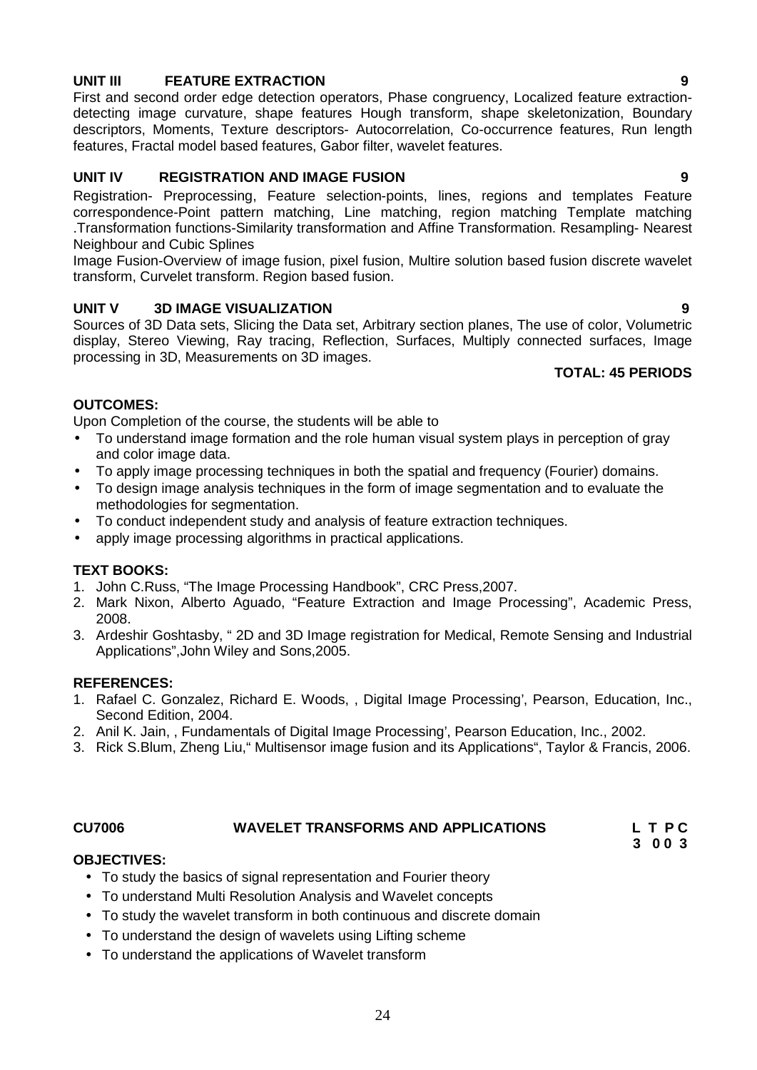### **UNIT III FEATURE EXTRACTION 9**

First and second order edge detection operators, Phase congruency, Localized feature extraction detecting image curvature, shape features Hough transform, shape skeletonization, Boundary descriptors, Moments, Texture descriptors- Autocorrelation, Co-occurrence features, Run length features, Fractal model based features, Gabor filter, wavelet features.

### **UNIT IV REGISTRATION AND IMAGE FUSION 9**

Registration- Preprocessing, Feature selection-points, lines, regions and templates Feature correspondence-Point pattern matching, Line matching, region matching Template matching .Transformation functions-Similarity transformation and Affine Transformation. Resampling- Nearest Neighbour and Cubic Splines

Image Fusion-Overview of image fusion, pixel fusion, Multire solution based fusion discrete wavelet transform, Curvelet transform. Region based fusion.

#### **UNIT V 3D IMAGE VISUALIZATION 9**

Sources of 3D Data sets, Slicing the Data set, Arbitrary section planes, The use of color, Volumetric display, Stereo Viewing, Ray tracing, Reflection, Surfaces, Multiply connected surfaces, Image processing in 3D, Measurements on 3D images.

### **TOTAL: 45 PERIODS**

#### **OUTCOMES:**

Upon Completion of the course, the students will be able to

- To understand image formation and the role human visual system plays in perception of gray and color image data.
- To apply image processing techniques in both the spatial and frequency (Fourier) domains.
- To design image analysis techniques in the form of image segmentation and to evaluate the methodologies for segmentation.
- To conduct independent study and analysis of feature extraction techniques.
- apply image processing algorithms in practical applications.

#### **TEXT BOOKS:**

- 1. John C.Russ, "The Image Processing Handbook", CRC Press,2007.
- 2. Mark Nixon, Alberto Aguado, "Feature Extraction and Image Processing", Academic Press, 2008.
- 3. Ardeshir Goshtasby, " 2D and 3D Image registration for Medical, Remote Sensing and Industrial Applications",John Wiley and Sons,2005.

#### **REFERENCES:**

- 1. Rafael C. Gonzalez, Richard E. Woods, , Digital Image Processing', Pearson, Education, Inc., Second Edition, 2004.
- 2. Anil K. Jain, , Fundamentals of Digital Image Processing', Pearson Education, Inc., 2002.
- 3. Rick S.Blum, Zheng Liu," Multisensor image fusion and its Applications", Taylor & Francis, 2006.

#### **CU7006 WAVELET TRANSFORMS AND APPLICATIONS L T P C**

**3 0 0 3**

#### **OBJECTIVES:**

- To study the basics of signal representation and Fourier theory
- To understand Multi Resolution Analysis and Wavelet concepts
- To study the wavelet transform in both continuous and discrete domain
- To understand the design of wavelets using Lifting scheme
- To understand the applications of Wavelet transform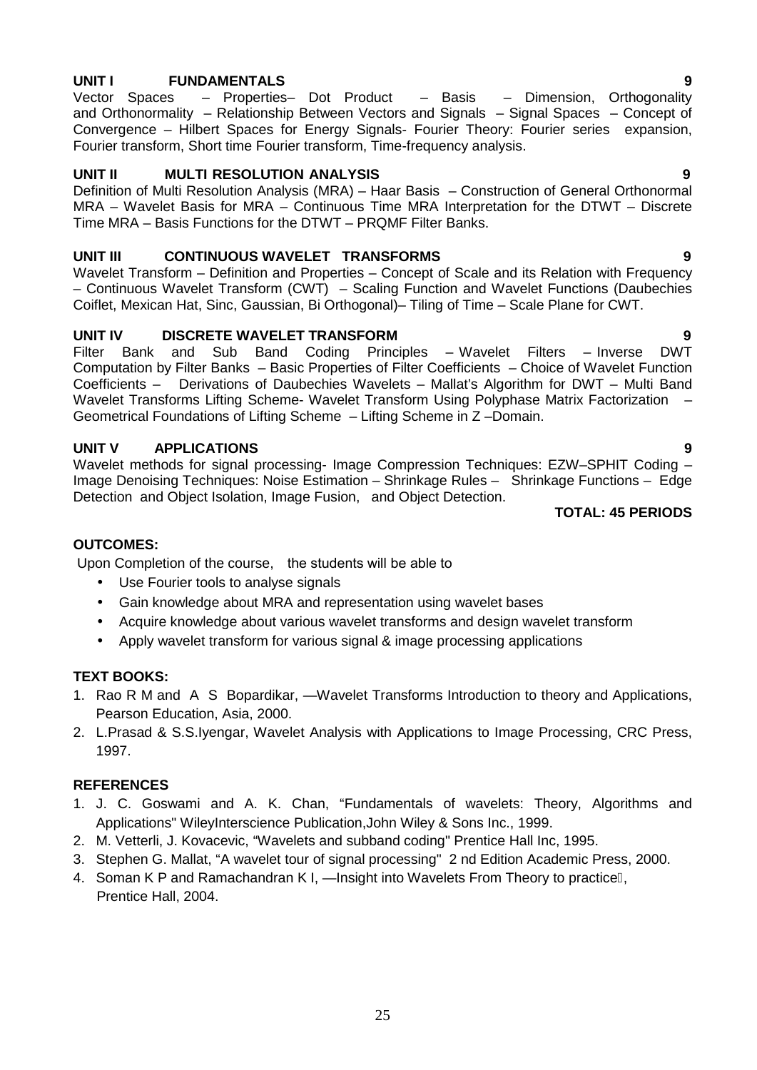**UNIT I FUNDAMENTALS 9** Vector Spaces – Properties– Dot Product – Basis – Dimension, Orthogonality and Orthonormality – Relationship Between Vectors and Signals – Signal Spaces – Concept of Convergence – Hilbert Spaces for Energy Signals- Fourier Theory: Fourier series expansion, Fourier transform, Short time Fourier transform, Time-frequency analysis.

### **UNIT II MULTI RESOLUTION ANALYSIS 9**

Definition of Multi Resolution Analysis (MRA) – Haar Basis – Construction of General Orthonormal MRA – Wavelet Basis for MRA – Continuous Time MRA Interpretation for the DTWT – Discrete Time MRA – Basis Functions for the DTWT – PRQMF Filter Banks.

#### **UNIT III CONTINUOUS WAVELET TRANSFORMS 9**

Wavelet Transform – Definition and Properties – Concept of Scale and its Relation with Frequency – Continuous Wavelet Transform (CWT) – Scaling Function and Wavelet Functions (Daubechies Coiflet, Mexican Hat, Sinc, Gaussian, Bi Orthogonal)– Tiling of Time – Scale Plane for CWT.

### **UNIT IV DISCRETE WAVELET TRANSFORM 9**

Filter Bank and Sub Band Coding Principles – Wavelet Filters – Inverse DWT Computation by Filter Banks – Basic Properties of Filter Coefficients – Choice of Wavelet Function Coefficients – Derivations of Daubechies Wavelets – Mallat's Algorithm for DWT – Multi Band Wavelet Transforms Lifting Scheme- Wavelet Transform Using Polyphase Matrix Factorization – Geometrical Foundations of Lifting Scheme – Lifting Scheme in Z –Domain.

### **UNIT V APPLICATIONS 9**

Wavelet methods for signal processing- Image Compression Techniques: EZW-SPHIT Coding -Image Denoising Techniques: Noise Estimation – Shrinkage Rules – Shrinkage Functions – Edge Detection and Object Isolation, Image Fusion, and Object Detection.

**TOTAL: 45 PERIODS**

#### **OUTCOMES:**

Upon Completion of the course, the students will be able to

- Use Fourier tools to analyse signals
- Gain knowledge about MRA and representation using wavelet bases
- Acquire knowledge about various wavelet transforms and design wavelet transform
- Apply wavelet transform for various signal & image processing applications

#### **TEXT BOOKS:**

- 1. Rao R M and A S Bopardikar, Wavelet Transforms Introduction to theory and Applications, Pearson Education, Asia, 2000.
- 2. L.Prasad & S.S.Iyengar, Wavelet Analysis with Applications to Image Processing, CRC Press, 1997.

### **REFERENCES**

- 1. J. C. Goswami and A. K. Chan, "Fundamentals of wavelets: Theory, Algorithms and Applications" WileyInterscience Publication,John Wiley & Sons Inc., 1999.
- 2. M. Vetterli, J. Kovacevic, "Wavelets and subband coding" Prentice Hall Inc, 1995.
- 3. Stephen G. Mallat, "A wavelet tour of signal processing" 2 nd Edition Academic Press, 2000.
- 4. Soman K P and Ramachandran K I, Insight into Wavelets From Theory to practice, Prentice Hall, 2004.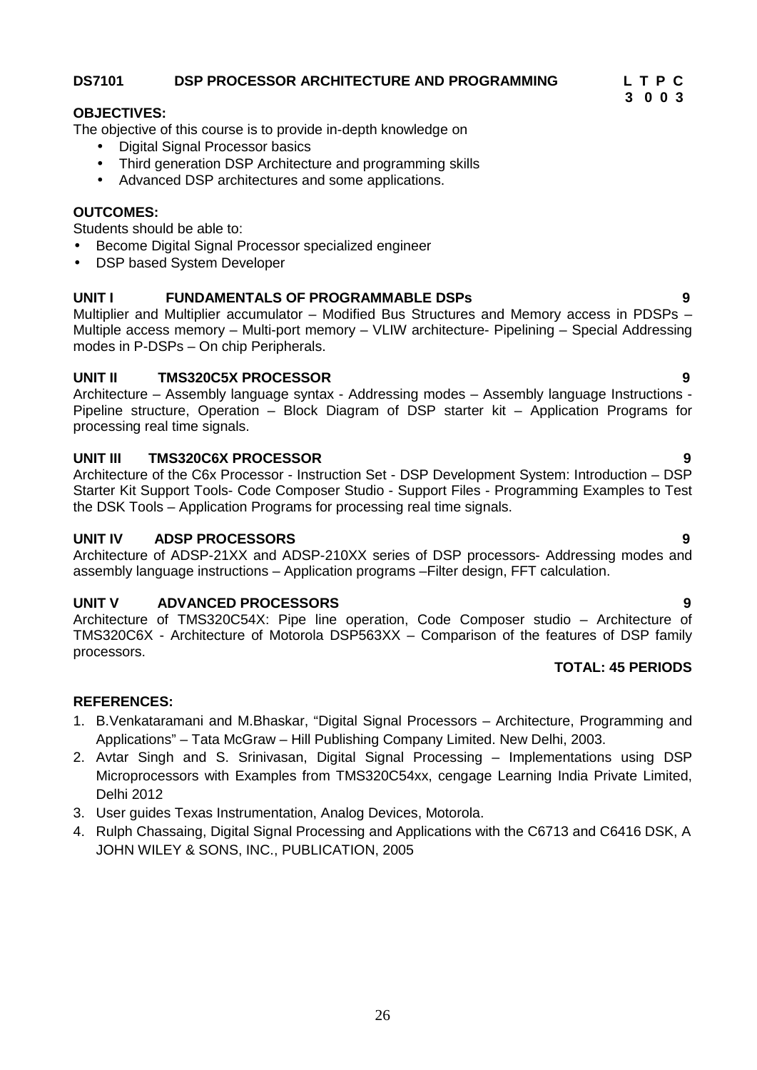### **DS7101 DSP PROCESSOR ARCHITECTURE AND PROGRAMMING L T P C**

### **OBJECTIVES:**

The objective of this course is to provide in-depth knowledge on

- Digital Signal Processor basics
- Third generation DSP Architecture and programming skills
- Advanced DSP architectures and some applications.

#### **OUTCOMES:**

Students should be able to:

- **Become Digital Signal Processor specialized engineer**
- DSP based System Developer

#### **UNIT I FUNDAMENTALS OF PROGRAMMABLE DSPs 9**

Multiplier and Multiplier accumulator – Modified Bus Structures and Memory access in PDSPs – Multiple access memory – Multi-port memory – VLIW architecture- Pipelining – Special Addressing modes in P-DSPs – On chip Peripherals.

#### **UNIT II TMS320C5X PROCESSOR 9**

Architecture – Assembly language syntax - Addressing modes – Assembly language Instructions - Pipeline structure, Operation – Block Diagram of DSP starter kit – Application Programs for processing real time signals.

#### **UNIT III TMS320C6X PROCESSOR 9**

Architecture of the C6x Processor - Instruction Set - DSP Development System: Introduction – DSP Starter Kit Support Tools- Code Composer Studio - Support Files - Programming Examples to Test the DSK Tools – Application Programs for processing real time signals.

#### **UNIT IV ADSP PROCESSORS 9**

Architecture of ADSP-21XX and ADSP-210XX series of DSP processors- Addressing modes and assembly language instructions – Application programs –Filter design, FFT calculation.

#### **UNIT V ADVANCED PROCESSORS 9**

Architecture of TMS320C54X: Pipe line operation, Code Composer studio – Architecture of TMS320C6X - Architecture of Motorola DSP563XX – Comparison of the features of DSP family processors.

## **TOTAL: 45 PERIODS**

#### **REFERENCES:**

- 1. B.Venkataramani and M.Bhaskar, "Digital Signal Processors Architecture, Programming and Applications" – Tata McGraw – Hill Publishing Company Limited. New Delhi, 2003.
- 2. Avtar Singh and S. Srinivasan, Digital Signal Processing Implementations using DSP Microprocessors with Examples from TMS320C54xx, cengage Learning India Private Limited, Delhi 2012
- 3. User guides Texas Instrumentation, Analog Devices, Motorola.
- 4. Rulph Chassaing, Digital Signal Processing and Applications with the C6713 and C6416 DSK, A JOHN WILEY & SONS, INC., PUBLICATION, 2005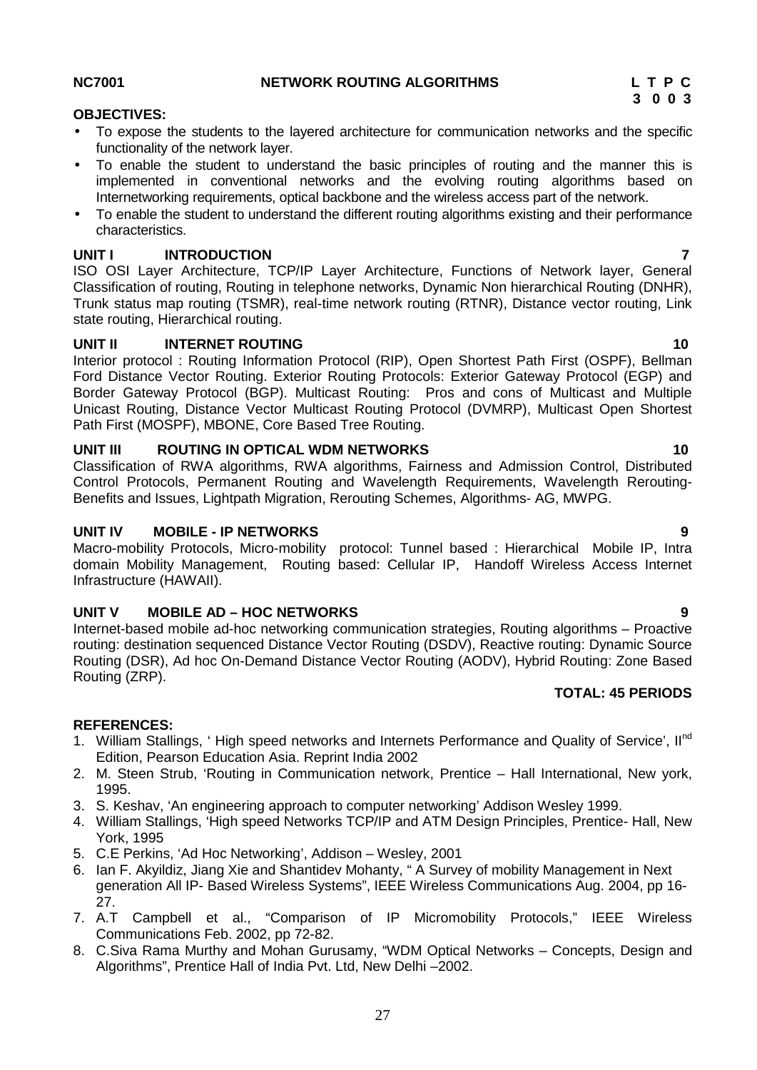ISO OSI Layer Architecture, TCP/IP Layer Architecture, Functions of Network layer, General Classification of routing, Routing in telephone networks, Dynamic Non hierarchical Routing (DNHR), Trunk status map routing (TSMR), real-time network routing (RTNR), Distance vector routing, Link state routing, Hierarchical routing.

### **UNIT II INTERNET ROUTING 10**

Interior protocol : Routing Information Protocol (RIP), Open Shortest Path First (OSPF), Bellman Ford Distance Vector Routing. Exterior Routing Protocols: Exterior Gateway Protocol (EGP) and Border Gateway Protocol (BGP). Multicast Routing: Pros and cons of Multicast and Multiple Unicast Routing, Distance Vector Multicast Routing Protocol (DVMRP), Multicast Open Shortest Path First (MOSPF), MBONE, Core Based Tree Routing.

### **UNIT III ROUTING IN OPTICAL WDM NETWORKS 10**

Classification of RWA algorithms, RWA algorithms, Fairness and Admission Control, Distributed Control Protocols, Permanent Routing and Wavelength Requirements, Wavelength Rerouting- Benefits and Issues, Lightpath Migration, Rerouting Schemes, Algorithms- AG, MWPG.

### **UNIT IV MOBILE - IP NETWORKS 9**

Macro-mobility Protocols, Micro-mobility protocol: Tunnel based : Hierarchical Mobile IP, Intra domain Mobility Management, Routing based: Cellular IP, Handoff Wireless Access Internet Infrastructure (HAWAII).

### **UNIT V MOBILE AD – HOC NETWORKS 9**

Internet-based mobile ad-hoc networking communication strategies, Routing algorithms – Proactive routing: destination sequenced Distance Vector Routing (DSDV), Reactive routing: Dynamic Source Routing (DSR), Ad hoc On-Demand Distance Vector Routing (AODV), Hybrid Routing: Zone Based Routing (ZRP).

# **TOTAL: 45 PERIODS**

### **REFERENCES:**

- 1. William Stallings, 'High speed networks and Internets Performance and Quality of Service', Il<sup>nd</sup> Edition, Pearson Education Asia. Reprint India 2002
- 2. M. Steen Strub, 'Routing in Communication network, Prentice Hall International, New york, 1995.
- 3. S. Keshav, 'An engineering approach to computer networking' Addison Wesley 1999.
- 4. William Stallings, 'High speed Networks TCP/IP and ATM Design Principles, Prentice- Hall, New York, 1995
- 5. C.E Perkins, 'Ad Hoc Networking', Addison Wesley, 2001
- 6. Ian F. Akyildiz, Jiang Xie and Shantidev Mohanty, " A Survey of mobility Management in Next generation All IP- Based Wireless Systems", IEEE Wireless Communications Aug. 2004, pp 16- 27.
- 7. A.T Campbell et al., "Comparison of IP Micromobility Protocols," IEEE Wireless Communications Feb. 2002, pp 72-82.
- 8. C.Siva Rama Murthy and Mohan Gurusamy, "WDM Optical Networks Concepts, Design and Algorithms", Prentice Hall of India Pvt. Ltd, New Delhi –2002.

### **OBJECTIVES:**

- To expose the students to the layered architecture for communication networks and the specific functionality of the network layer.
- To enable the student to understand the basic principles of routing and the manner this is implemented in conventional networks and the evolving routing algorithms based on
- Internetworking requirements, optical backbone and the wireless access part of the network.
- To enable the student to understand the different routing algorithms existing and their performance characteristics.

#### **UNIT I INTRODUCTION 7**

#### **NC7001 NETWORK ROUTING ALGORITHMS L T P C**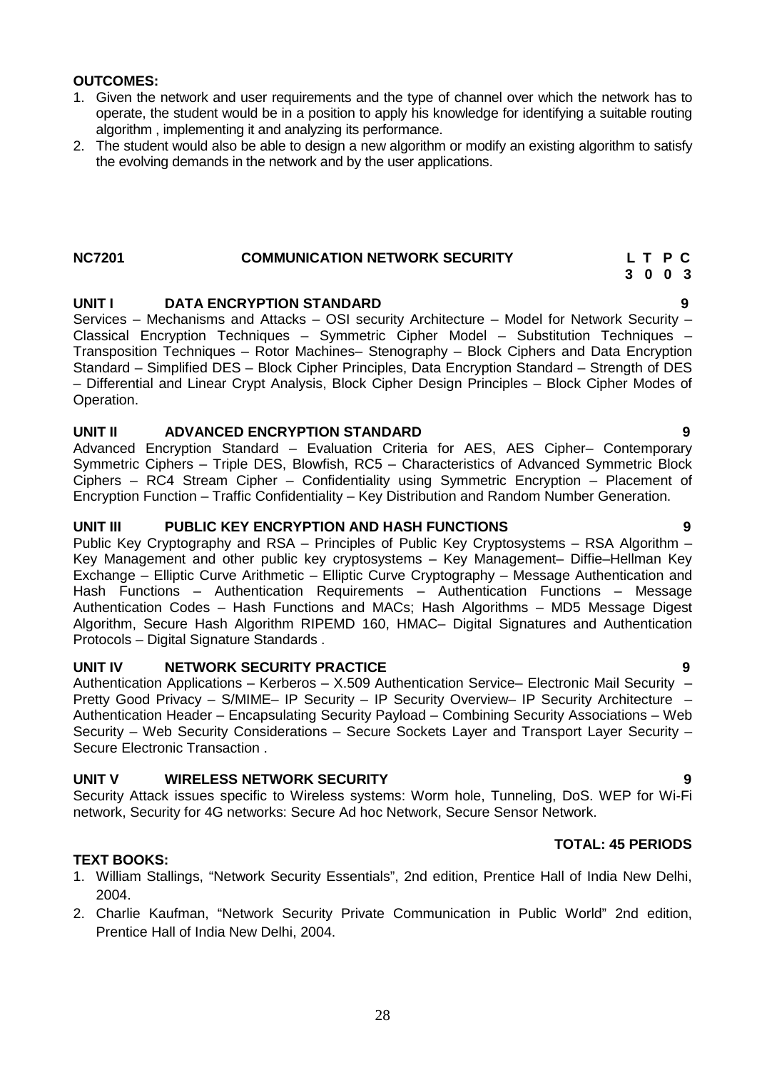#### **OUTCOMES:**

- 1. Given the network and user requirements and the type of channel over which the network has to operate, the student would be in a position to apply his knowledge for identifying a suitable routing algorithm , implementing it and analyzing its performance.
- 2. The student would also be able to design a new algorithm or modify an existing algorithm to satisfy the evolving demands in the network and by the user applications.

#### **NC7201 COMMUNICATION NETWORK SECURITY L T P C**

### **UNIT I DATA ENCRYPTION STANDARD 9**

Services – Mechanisms and Attacks – OSI security Architecture – Model for Network Security – Classical Encryption Techniques – Symmetric Cipher Model – Substitution Techniques – Transposition Techniques – Rotor Machines– Stenography – Block Ciphers and Data Encryption Standard – Simplified DES – Block Cipher Principles, Data Encryption Standard – Strength of DES – Differential and Linear Crypt Analysis, Block Cipher Design Principles – Block Cipher Modes of Operation.

#### **UNIT II ADVANCED ENCRYPTION STANDARD 9**

Advanced Encryption Standard – Evaluation Criteria for AES, AES Cipher– Contemporary Symmetric Ciphers – Triple DES, Blowfish, RC5 – Characteristics of Advanced Symmetric Block Ciphers – RC4 Stream Cipher – Confidentiality using Symmetric Encryption – Placement of Encryption Function – Traffic Confidentiality – Key Distribution and Random Number Generation.

#### **UNIT III PUBLIC KEY ENCRYPTION AND HASH FUNCTIONS 9**

Public Key Cryptography and RSA – Principles of Public Key Cryptosystems – RSA Algorithm – Key Management and other public key cryptosystems – Key Management– Diffie–Hellman Key Exchange – Elliptic Curve Arithmetic – Elliptic Curve Cryptography – Message Authentication and Hash Functions – Authentication Requirements – Authentication Functions – Message Authentication Codes – Hash Functions and MACs; Hash Algorithms – MD5 Message Digest Algorithm, Secure Hash Algorithm RIPEMD 160, HMAC– Digital Signatures and Authentication Protocols – Digital Signature Standards .

#### **UNIT IV NETWORK SECURITY PRACTICE 9**

Authentication Applications – Kerberos – X.509 Authentication Service– Electronic Mail Security – Pretty Good Privacy – S/MIME– IP Security – IP Security Overview– IP Security Architecture Authentication Header – Encapsulating Security Payload – Combining Security Associations – Web Security – Web Security Considerations – Secure Sockets Layer and Transport Layer Security – Secure Electronic Transaction .

#### **UNIT V WIRELESS NETWORK SECURITY 9**

Security Attack issues specific to Wireless systems: Worm hole, Tunneling, DoS. WEP for Wi-Fi network, Security for 4G networks: Secure Ad hoc Network, Secure Sensor Network.

#### **TOTAL: 45 PERIODS**

#### **TEXT BOOKS:**

- 1. William Stallings, "Network Security Essentials", 2nd edition, Prentice Hall of India New Delhi, 2004.
- 2. Charlie Kaufman, "Network Security Private Communication in Public World" 2nd edition, Prentice Hall of India New Delhi, 2004.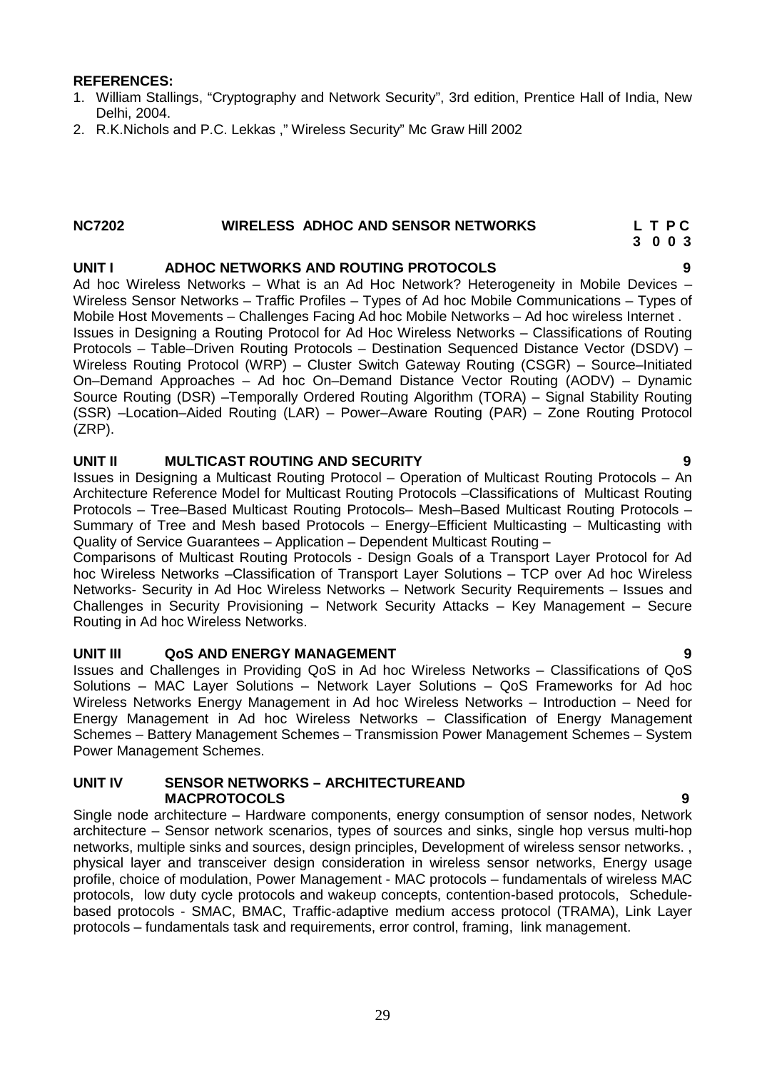#### **REFERENCES:**

- 1. William Stallings, "Cryptography and Network Security", 3rd edition, Prentice Hall of India, New Delhi, 2004.
- 2. R.K.Nichols and P.C. Lekkas ," Wireless Security" Mc Graw Hill 2002

#### **NC7202 WIRELESS ADHOC AND SENSOR NETWORKS L T P C**

# **3 0 0 3**

### **UNIT I ADHOC NETWORKS AND ROUTING PROTOCOLS 9**

Ad hoc Wireless Networks – What is an Ad Hoc Network? Heterogeneity in Mobile Devices – Wireless Sensor Networks – Traffic Profiles – Types of Ad hoc Mobile Communications – Types of Mobile Host Movements – Challenges Facing Ad hoc Mobile Networks – Ad hoc wireless Internet . Issues in Designing a Routing Protocol for Ad Hoc Wireless Networks – Classifications of Routing Protocols – Table–Driven Routing Protocols – Destination Sequenced Distance Vector (DSDV) – Wireless Routing Protocol (WRP) – Cluster Switch Gateway Routing (CSGR) – Source–Initiated On–Demand Approaches – Ad hoc On–Demand Distance Vector Routing (AODV) – Dynamic Source Routing (DSR) –Temporally Ordered Routing Algorithm (TORA) – Signal Stability Routing (SSR) –Location–Aided Routing (LAR) – Power–Aware Routing (PAR) – Zone Routing Protocol (ZRP).

#### **UNIT II MULTICAST ROUTING AND SECURITY 9**

Issues in Designing a Multicast Routing Protocol – Operation of Multicast Routing Protocols – An Architecture Reference Model for Multicast Routing Protocols –Classifications of Multicast Routing Protocols – Tree–Based Multicast Routing Protocols– Mesh–Based Multicast Routing Protocols – Summary of Tree and Mesh based Protocols – Energy–Efficient Multicasting – Multicasting with Quality of Service Guarantees – Application – Dependent Multicast Routing –

Comparisons of Multicast Routing Protocols - Design Goals of a Transport Layer Protocol for Ad hoc Wireless Networks –Classification of Transport Layer Solutions – TCP over Ad hoc Wireless Networks- Security in Ad Hoc Wireless Networks – Network Security Requirements – Issues and Challenges in Security Provisioning – Network Security Attacks – Key Management – Secure Routing in Ad hoc Wireless Networks.

#### **UNIT III QoS AND ENERGY MANAGEMENT 9**

Issues and Challenges in Providing QoS in Ad hoc Wireless Networks – Classifications of QoS Solutions – MAC Layer Solutions – Network Layer Solutions – QoS Frameworks for Ad hoc Wireless Networks Energy Management in Ad hoc Wireless Networks – Introduction – Need for Energy Management in Ad hoc Wireless Networks – Classification of Energy Management Schemes – Battery Management Schemes – Transmission Power Management Schemes – System Power Management Schemes.

#### **UNIT IV SENSOR NETWORKS – ARCHITECTUREAND MACPROTOCOLS 9**

Single node architecture – Hardware components, energy consumption of sensor nodes, Network architecture – Sensor network scenarios, types of sources and sinks, single hop versus multi-hop networks, multiple sinks and sources, design principles, Development of wireless sensor networks. , physical layer and transceiver design consideration in wireless sensor networks, Energy usage profile, choice of modulation, Power Management - MAC protocols – fundamentals of wireless MAC protocols, low duty cycle protocols and wakeup concepts, contention-based protocols, Schedule based protocols - SMAC, BMAC, Traffic-adaptive medium access protocol (TRAMA), Link Layer protocols – fundamentals task and requirements, error control, framing, link management.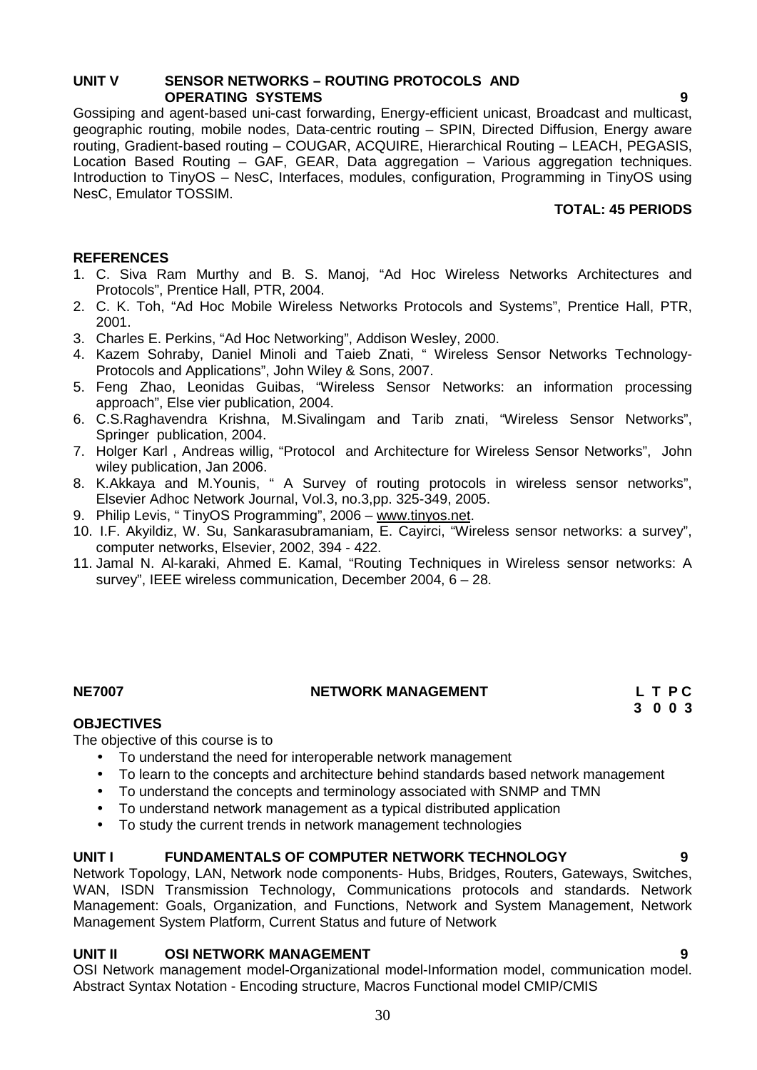### **UNIT V SENSOR NETWORKS – ROUTING PROTOCOLS AND OPERATING SYSTEMS 9**

Gossiping and agent-based uni-cast forwarding, Energy-efficient unicast, Broadcast and multicast, geographic routing, mobile nodes, Data-centric routing – SPIN, Directed Diffusion, Energy aware routing, Gradient-based routing – COUGAR, ACQUIRE, Hierarchical Routing – LEACH, PEGASIS, Location Based Routing – GAF, GEAR, Data aggregation – Various aggregation techniques. Introduction to TinyOS – NesC, Interfaces, modules, configuration, Programming in TinyOS using NesC, Emulator TOSSIM.

### **TOTAL: 45 PERIODS**

### **REFERENCES**

- 1. C. Siva Ram Murthy and B. S. Manoj, "Ad Hoc Wireless Networks Architectures and Protocols", Prentice Hall, PTR, 2004.
- 2. C. K. Toh, "Ad Hoc Mobile Wireless Networks Protocols and Systems", Prentice Hall, PTR, 2001.
- 3. Charles E. Perkins, "Ad Hoc Networking", Addison Wesley, 2000.
- 4. Kazem Sohraby, Daniel Minoli and Taieb Znati, " Wireless Sensor Networks Technology- Protocols and Applications", John Wiley & Sons, 2007.
- 5. Feng Zhao, Leonidas Guibas, "Wireless Sensor Networks: an information processing approach", Else vier publication, 2004.
- 6. C.S.Raghavendra Krishna, M.Sivalingam and Tarib znati, "Wireless Sensor Networks", Springer publication, 2004.
- 7. Holger Karl , Andreas willig, "Protocol and Architecture for Wireless Sensor Networks", John wiley publication, Jan 2006.
- 8. K.Akkaya and M.Younis, " A Survey of routing protocols in wireless sensor networks", Elsevier Adhoc Network Journal, Vol.3, no.3,pp. 325-349, 2005.
- 9. Philip Levis, " TinyOS Programming", 2006 www.tinyos.net.
- 10. I.F. Akyildiz, W. Su, Sankarasubramaniam, E. Cayirci, "Wireless sensor networks: a survey", computer networks, Elsevier, 2002, 394 - 422.
- 11. Jamal N. Al-karaki, Ahmed E. Kamal, "Routing Techniques in Wireless sensor networks: A survey", IEEE wireless communication, December 2004, 6 – 28.

#### **NE7007 NETWORK MANAGEMENT L T P C**

**3 0 0 3**

#### **OBJECTIVES**

The objective of this course is to

- To understand the need for interoperable network management
- To learn to the concepts and architecture behind standards based network management
- To understand the concepts and terminology associated with SNMP and TMN
- To understand network management as a typical distributed application
- To study the current trends in network management technologies

#### **UNIT I FUNDAMENTALS OF COMPUTER NETWORK TECHNOLOGY 9**

Network Topology, LAN, Network node components- Hubs, Bridges, Routers, Gateways, Switches, WAN, ISDN Transmission Technology, Communications protocols and standards. Network Management: Goals, Organization, and Functions, Network and System Management, Network Management System Platform, Current Status and future of Network

### **UNIT II OSI NETWORK MANAGEMENT 9**

OSI Network management model-Organizational model-Information model, communication model. Abstract Syntax Notation - Encoding structure, Macros Functional model CMIP/CMIS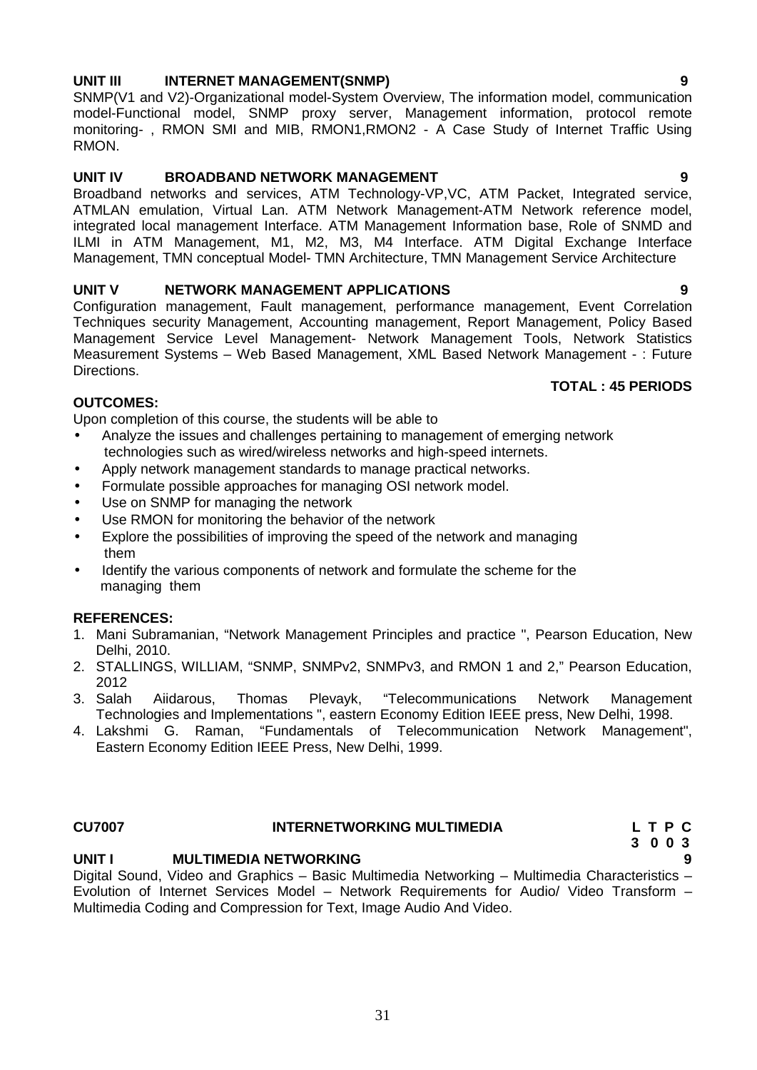#### **UNIT III INTERNET MANAGEMENT(SNMP) 9**

SNMP(V1 and V2)-Organizational model-System Overview, The information model, communication model-Functional model, SNMP proxy server, Management information, protocol remote monitoring- , RMON SMI and MIB, RMON1,RMON2 - A Case Study of Internet Traffic Using RMON.

### **UNIT IV BROADBAND NETWORK MANAGEMENT 9**

Broadband networks and services, ATM Technology-VP,VC, ATM Packet, Integrated service, ATMLAN emulation, Virtual Lan. ATM Network Management-ATM Network reference model, integrated local management Interface. ATM Management Information base, Role of SNMD and ILMI in ATM Management, M1, M2, M3, M4 Interface. ATM Digital Exchange Interface Management, TMN conceptual Model- TMN Architecture, TMN Management Service Architecture

### **UNIT V NETWORK MANAGEMENT APPLICATIONS 9**

Configuration management, Fault management, performance management, Event Correlation Techniques security Management, Accounting management, Report Management, Policy Based Management Service Level Management- Network Management Tools, Network Statistics Measurement Systems – Web Based Management, XML Based Network Management - : Future Directions.

### **TOTAL : 45 PERIODS**

#### **OUTCOMES:**

Upon completion of this course, the students will be able to

- Analyze the issues and challenges pertaining to management of emerging network technologies such as wired/wireless networks and high-speed internets.
- Apply network management standards to manage practical networks.
- Formulate possible approaches for managing OSI network model.
- Use on SNMP for managing the network
- Use RMON for monitoring the behavior of the network
- Explore the possibilities of improving the speed of the network and managing them
- Identify the various components of network and formulate the scheme for the managing them

#### **REFERENCES:**

- 1. Mani Subramanian, "Network Management Principles and practice ", Pearson Education, New Delhi, 2010.
- 2. STALLINGS, WILLIAM, "SNMP, SNMPv2, SNMPv3, and RMON 1 and 2," Pearson Education, 2012
- 3. Salah Aiidarous, Thomas Plevayk, "Telecommunications Network Management Technologies and Implementations ", eastern Economy Edition IEEE press, New Delhi, 1998.
- 4. Lakshmi G. Raman, "Fundamentals of Telecommunication Network Management", Eastern Economy Edition IEEE Press, New Delhi, 1999.

### **CU7007 INTERNETWORKING MULTIMEDIA L T P C**

# **UNIT I MULTIMEDIA NETWORKING 9** Digital Sound, Video and Graphics – Basic Multimedia Networking – Multimedia Characteristics –

Evolution of Internet Services Model – Network Requirements for Audio/ Video Transform – Multimedia Coding and Compression for Text, Image Audio And Video.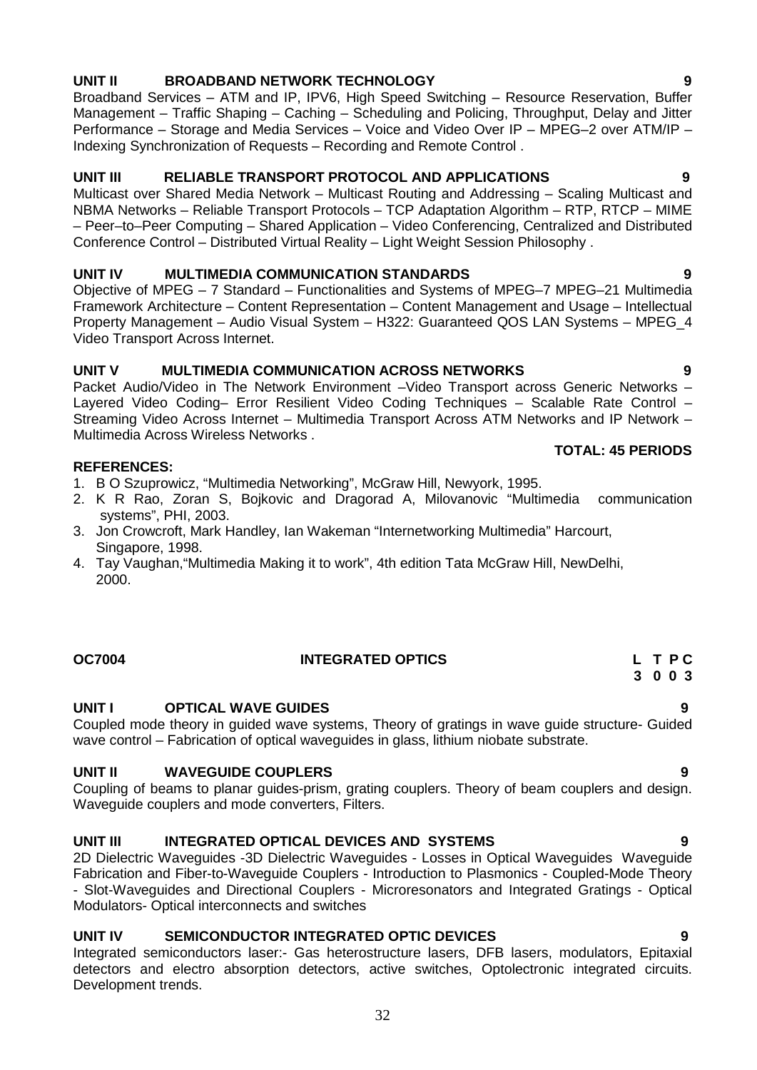# **UNIT II BROADBAND NETWORK TECHNOLOGY 9**

Broadband Services – ATM and IP, IPV6, High Speed Switching – Resource Reservation, Buffer Management – Traffic Shaping – Caching – Scheduling and Policing, Throughput, Delay and Jitter Performance – Storage and Media Services – Voice and Video Over IP – MPEG–2 over ATM/IP – Indexing Synchronization of Requests – Recording and Remote Control .

### **UNIT III RELIABLE TRANSPORT PROTOCOL AND APPLICATIONS 9**

Multicast over Shared Media Network – Multicast Routing and Addressing – Scaling Multicast and NBMA Networks – Reliable Transport Protocols – TCP Adaptation Algorithm – RTP, RTCP – MIME – Peer–to–Peer Computing – Shared Application – Video Conferencing, Centralized and Distributed Conference Control – Distributed Virtual Reality – Light Weight Session Philosophy .

### **UNIT IV MULTIMEDIA COMMUNICATION STANDARDS 9**

Objective of MPEG – 7 Standard – Functionalities and Systems of MPEG–7 MPEG–21 Multimedia Framework Architecture – Content Representation – Content Management and Usage – Intellectual Property Management – Audio Visual System – H322: Guaranteed QOS LAN Systems – MPEG\_4 Video Transport Across Internet.

#### **UNIT V MULTIMEDIA COMMUNICATION ACROSS NETWORKS 9**

Packet Audio/Video in The Network Environment –Video Transport across Generic Networks – Layered Video Coding– Error Resilient Video Coding Techniques – Scalable Rate Control – Streaming Video Across Internet – Multimedia Transport Across ATM Networks and IP Network – Multimedia Across Wireless Networks .

#### **REFERENCES:**

- 1. B O Szuprowicz, "Multimedia Networking", McGraw Hill, Newyork, 1995.
- 2. K R Rao, Zoran S, Bojkovic and Dragorad A, Milovanovic "Multimedia communication systems", PHI, 2003.
- 3. Jon Crowcroft, Mark Handley, Ian Wakeman "Internetworking Multimedia" Harcourt, Singapore, 1998.
- 4. Tay Vaughan,"Multimedia Making it to work", 4th edition Tata McGraw Hill, NewDelhi, 2000.

#### **OC7004 INTEGRATED OPTICS L T P C**

# **UNIT I OPTICAL WAVE GUIDES 9**

Coupled mode theory in guided wave systems, Theory of gratings in wave guide structure- Guided wave control – Fabrication of optical waveguides in glass, lithium niobate substrate.

#### **UNIT II WAVEGUIDE COUPLERS 9**

Coupling of beams to planar guides-prism, grating couplers. Theory of beam couplers and design. Waveguide couplers and mode converters, Filters.

#### **UNIT III INTEGRATED OPTICAL DEVICES AND SYSTEMS 9**

2D Dielectric Waveguides -3D Dielectric Waveguides - Losses in Optical Waveguides Waveguide Fabrication and Fiber-to-Waveguide Couplers - Introduction to Plasmonics - Coupled-Mode Theory - Slot-Waveguides and Directional Couplers - Microresonators and Integrated Gratings - Optical Modulators- Optical interconnects and switches

### **UNIT IV SEMICONDUCTOR INTEGRATED OPTIC DEVICES 9**

Integrated semiconductors laser:- Gas heterostructure lasers, DFB lasers, modulators, Epitaxial detectors and electro absorption detectors, active switches, Optolectronic integrated circuits. Development trends.

#### **TOTAL: 45 PERIODS**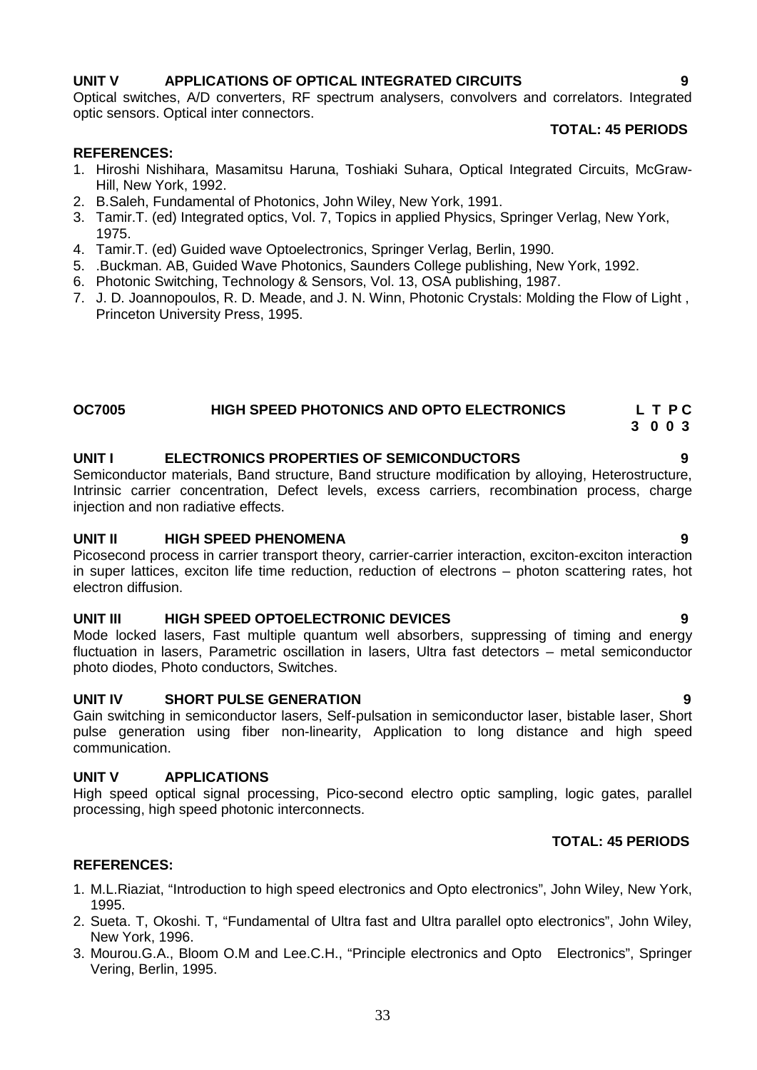### **UNIT V APPLICATIONS OF OPTICAL INTEGRATED CIRCUITS 9**

Optical switches, A/D converters, RF spectrum analysers, convolvers and correlators. Integrated optic sensors. Optical inter connectors.

### **TOTAL: 45 PERIODS**

#### **REFERENCES:**

- 1. Hiroshi Nishihara, Masamitsu Haruna, Toshiaki Suhara, Optical Integrated Circuits, McGraw- Hill, New York, 1992.
- 2. B.Saleh, Fundamental of Photonics, John Wiley, New York, 1991.
- 3. Tamir.T. (ed) Integrated optics, Vol. 7, Topics in applied Physics, Springer Verlag, New York, 1975.
- 4. Tamir.T. (ed) Guided wave Optoelectronics, Springer Verlag, Berlin, 1990.
- 5. .Buckman. AB, Guided Wave Photonics, Saunders College publishing, New York, 1992.
- 6. Photonic Switching, Technology & Sensors, Vol. 13, OSA publishing, 1987.
- 7. J. D. Joannopoulos, R. D. Meade, and J. N. Winn, Photonic Crystals: Molding the Flow of Light , Princeton University Press, 1995.

#### **OC7005 HIGH SPEED PHOTONICS AND OPTO ELECTRONICS L T P C 3 0 0 3**

### **UNIT I ELECTRONICS PROPERTIES OF SEMICONDUCTORS 9**

Semiconductor materials, Band structure, Band structure modification by alloying, Heterostructure, Intrinsic carrier concentration, Defect levels, excess carriers, recombination process, charge injection and non radiative effects.

#### **UNIT II HIGH SPEED PHENOMENA 9**

Picosecond process in carrier transport theory, carrier-carrier interaction, exciton-exciton interaction in super lattices, exciton life time reduction, reduction of electrons – photon scattering rates, hot electron diffusion.

#### **UNIT III HIGH SPEED OPTOELECTRONIC DEVICES 9**

Mode locked lasers, Fast multiple quantum well absorbers, suppressing of timing and energy fluctuation in lasers, Parametric oscillation in lasers, Ultra fast detectors – metal semiconductor photo diodes, Photo conductors, Switches.

#### **UNIT IV SHORT PULSE GENERATION 9**

Gain switching in semiconductor lasers, Self-pulsation in semiconductor laser, bistable laser, Short pulse generation using fiber non-linearity, Application to long distance and high speed communication.

#### **UNIT V APPLICATIONS**

High speed optical signal processing, Pico-second electro optic sampling, logic gates, parallel processing, high speed photonic interconnects.

#### **TOTAL: 45 PERIODS**

#### **REFERENCES:**

- 1. M.L.Riaziat, "Introduction to high speed electronics and Opto electronics", John Wiley, New York, 1995.
- 2. Sueta. T, Okoshi. T, "Fundamental of Ultra fast and Ultra parallel opto electronics", John Wiley, New York, 1996.
- 3. Mourou.G.A., Bloom O.M and Lee.C.H., "Principle electronics and Opto Electronics", Springer Vering, Berlin, 1995.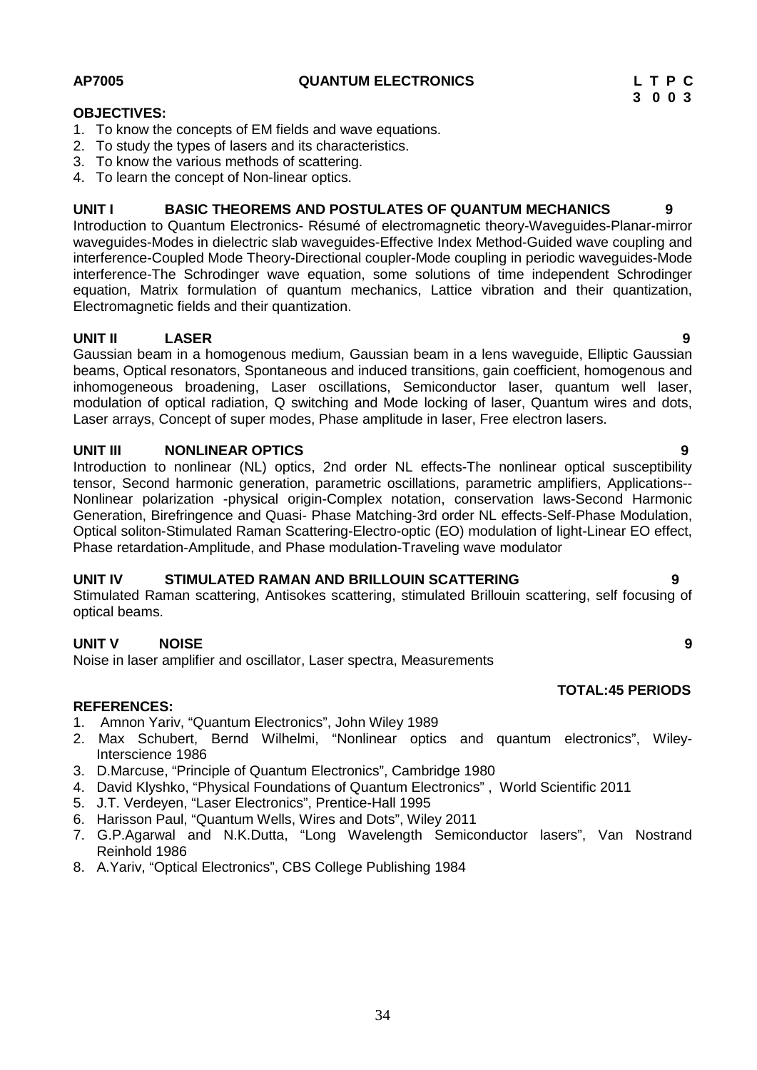#### **AP7005 QUANTUM ELECTRONICS L T P C**

# **3 0 0 3**

### **OBJECTIVES:**

- 1. To know the concepts of EM fields and wave equations.
- 2. To study the types of lasers and its characteristics.
- 3. To know the various methods of scattering.
- 4. To learn the concept of Non-linear optics.

### **UNIT I BASIC THEOREMS AND POSTULATES OF QUANTUM MECHANICS 9**

Introduction to Quantum Electronics- Résumé of electromagnetic theory-Waveguides-Planar-mirror waveguides-Modes in dielectric slab waveguides-Effective Index Method-Guided wave coupling and interference-Coupled Mode Theory-Directional coupler-Mode coupling in periodic waveguides-Mode interference-The Schrodinger wave equation, some solutions of time independent Schrodinger equation, Matrix formulation of quantum mechanics, Lattice vibration and their quantization, Electromagnetic fields and their quantization.

## **UNIT II LASER 9**

Gaussian beam in a homogenous medium, Gaussian beam in a lens waveguide, Elliptic Gaussian beams, Optical resonators, Spontaneous and induced transitions, gain coefficient, homogenous and inhomogeneous broadening, Laser oscillations, Semiconductor laser, quantum well laser, modulation of optical radiation, Q switching and Mode locking of laser, Quantum wires and dots, Laser arrays, Concept of super modes, Phase amplitude in laser, Free electron lasers.

### **UNIT III NONLINEAR OPTICS 9**

Introduction to nonlinear (NL) optics, 2nd order NL effects-The nonlinear optical susceptibility tensor, Second harmonic generation, parametric oscillations, parametric amplifiers, Applications-- Nonlinear polarization -physical origin-Complex notation, conservation laws-Second Harmonic Generation, Birefringence and Quasi- Phase Matching-3rd order NL effects-Self-Phase Modulation, Optical soliton-Stimulated Raman Scattering-Electro-optic (EO) modulation of light-Linear EO effect, Phase retardation-Amplitude, and Phase modulation-Traveling wave modulator

### **UNIT IV STIMULATED RAMAN AND BRILLOUIN SCATTERING 9**

Stimulated Raman scattering, Antisokes scattering, stimulated Brillouin scattering, self focusing of optical beams.

### **UNIT V NOISE 9**

Noise in laser amplifier and oscillator, Laser spectra, Measurements

### **REFERENCES:**

- 1. Amnon Yariv, "Quantum Electronics", John Wiley 1989
- 2. Max Schubert, Bernd Wilhelmi, "Nonlinear optics and quantum electronics", Wiley-Interscience 1986
- 3. D.Marcuse, "Principle of Quantum Electronics", Cambridge 1980
- 4. David Klyshko, "Physical Foundations of Quantum Electronics" , World Scientific 2011
- 5. J.T. Verdeyen, "Laser Electronics", Prentice-Hall 1995
- 6. Harisson Paul, "Quantum Wells, Wires and Dots", Wiley 2011
- 7. G.P.Agarwal and N.K.Dutta, "Long Wavelength Semiconductor lasers", Van Nostrand Reinhold 1986
- 8. A.Yariv, "Optical Electronics", CBS College Publishing 1984

#### **TOTAL:45 PERIODS**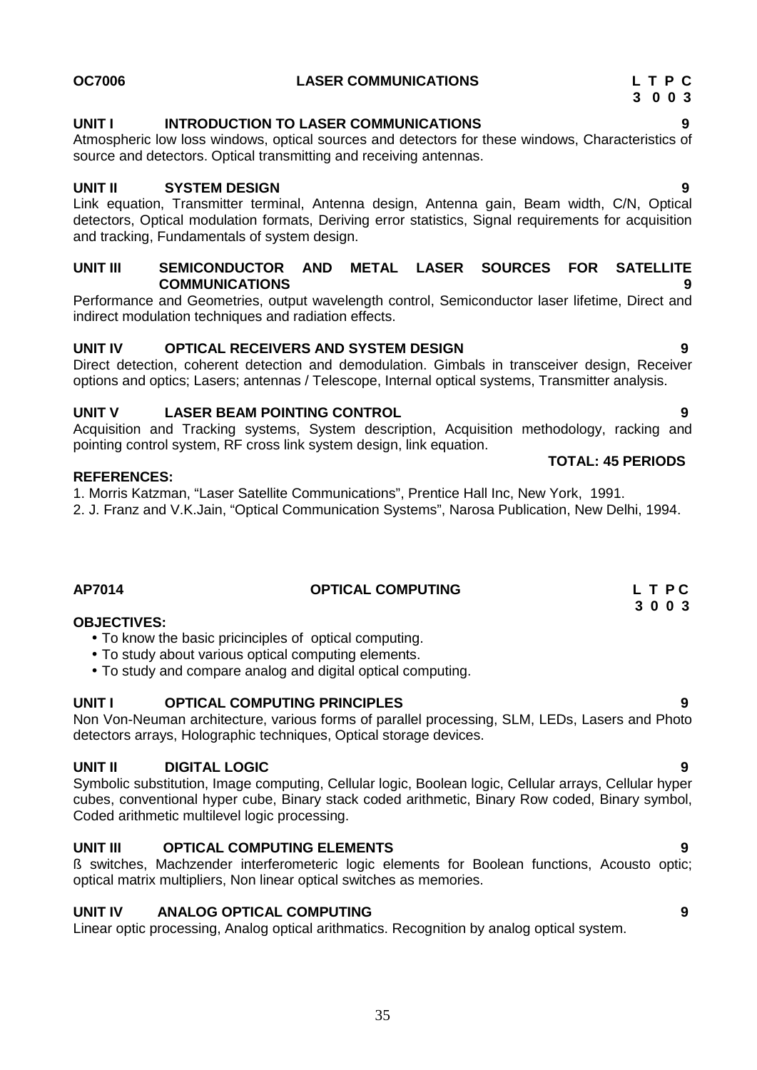### **UNIT I INTRODUCTION TO LASER COMMUNICATIONS 9**

Atmospheric low loss windows, optical sources and detectors for these windows, Characteristics of source and detectors. Optical transmitting and receiving antennas.

#### **UNIT II SYSTEM DESIGN 9**

Link equation, Transmitter terminal, Antenna design, Antenna gain, Beam width, C/N, Optical detectors, Optical modulation formats, Deriving error statistics, Signal requirements for acquisition and tracking, Fundamentals of system design.

#### **UNIT III SEMICONDUCTOR AND METAL LASER SOURCES FOR SATELLITE COMMUNICATIONS 9**

Performance and Geometries, output wavelength control, Semiconductor laser lifetime, Direct and indirect modulation techniques and radiation effects.

#### **UNIT IV OPTICAL RECEIVERS AND SYSTEM DESIGN 9**

Direct detection, coherent detection and demodulation. Gimbals in transceiver design, Receiver options and optics; Lasers; antennas / Telescope, Internal optical systems, Transmitter analysis.

### **UNIT V LASER BEAM POINTING CONTROL 9**

Acquisition and Tracking systems, System description, Acquisition methodology, racking and pointing control system, RF cross link system design, link equation.

#### **REFERENCES:**

1. Morris Katzman, "Laser Satellite Communications", Prentice Hall Inc, New York, 1991.

2. J. Franz and V.K.Jain, "Optical Communication Systems", Narosa Publication, New Delhi, 1994.

| L T PC                   |
|--------------------------|
|                          |
| 3 0 0 3                  |
| <b>OPTICAL COMPUTING</b> |

#### **OBJECTIVES:**

- To know the basic pricinciples of optical computing.
- To study about various optical computing elements.
- To study and compare analog and digital optical computing.

#### **UNIT I OPTICAL COMPUTING PRINCIPLES 9**

Non Von-Neuman architecture, various forms of parallel processing, SLM, LEDs, Lasers and Photo detectors arrays, Holographic techniques, Optical storage devices.

#### **UNIT II DIGITAL LOGIC 9**

Symbolic substitution, Image computing, Cellular logic, Boolean logic, Cellular arrays, Cellular hyper cubes, conventional hyper cube, Binary stack coded arithmetic, Binary Row coded, Binary symbol, Coded arithmetic multilevel logic processing.

#### **UNIT III OPTICAL COMPUTING ELEMENTS 9**

ß switches, Machzender interferometeric logic elements for Boolean functions, Acousto optic; optical matrix multipliers, Non linear optical switches as memories.

#### **UNIT IV ANALOG OPTICAL COMPUTING 9**

Linear optic processing, Analog optical arithmatics. Recognition by analog optical system.

**TOTAL: 45 PERIODS**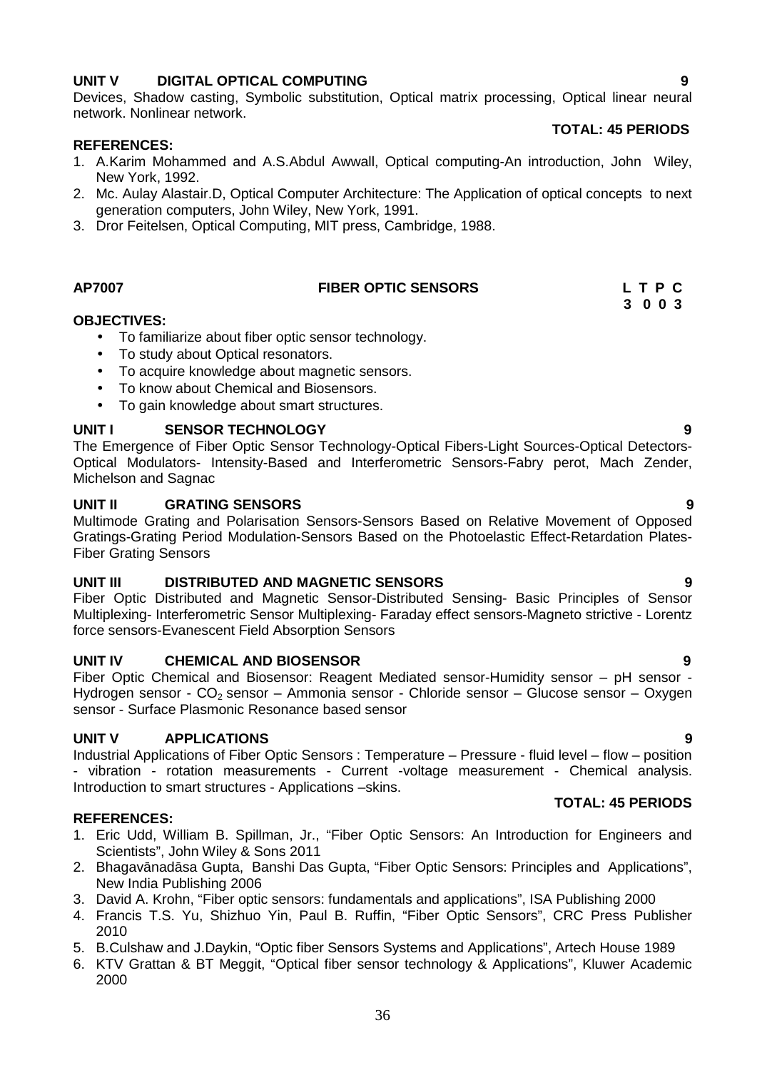### **UNIT V DIGITAL OPTICAL COMPUTING 9**

Devices, Shadow casting, Symbolic substitution, Optical matrix processing, Optical linear neural network. Nonlinear network.

#### **REFERENCES:**

- 1. A.Karim Mohammed and A.S.Abdul Awwall, Optical computing-An introduction, John Wiley, New York, 1992.
- 2. Mc. Aulay Alastair.D, Optical Computer Architecture: The Application of optical concepts to next generation computers, John Wiley, New York, 1991.
- 3. Dror Feitelsen, Optical Computing, MIT press, Cambridge, 1988.

### **AP7007 FIBER OPTIC SENSORS L T P C**

#### **OBJECTIVES:**

- To familiarize about fiber optic sensor technology.
- To study about Optical resonators.
- To acquire knowledge about magnetic sensors.
- To know about Chemical and Biosensors.
- To gain knowledge about smart structures.

### **UNIT I SENSOR TECHNOLOGY 9**

The Emergence of Fiber Optic Sensor Technology-Optical Fibers-Light Sources-Optical Detectors- Optical Modulators- Intensity-Based and Interferometric Sensors-Fabry perot, Mach Zender, Michelson and Sagnac

#### **UNIT II GRATING SENSORS 9**

Multimode Grating and Polarisation Sensors-Sensors Based on Relative Movement of Opposed Gratings-Grating Period Modulation-Sensors Based on the Photoelastic Effect-Retardation Plates- Fiber Grating Sensors

#### **UNIT III DISTRIBUTED AND MAGNETIC SENSORS 9**

Fiber Optic Distributed and Magnetic Sensor-Distributed Sensing- Basic Principles of Sensor Multiplexing- Interferometric Sensor Multiplexing- Faraday effect sensors-Magneto strictive - Lorentz force sensors-Evanescent Field Absorption Sensors

#### **UNIT IV CHEMICAL AND BIOSENSOR 9**

Fiber Optic Chemical and Biosensor: Reagent Mediated sensor-Humidity sensor – pH sensor - Hydrogen sensor -  $CO<sub>2</sub>$  sensor – Ammonia sensor - Chloride sensor – Glucose sensor – Oxygen sensor - Surface Plasmonic Resonance based sensor

#### **UNIT V APPLICATIONS 9**

Industrial Applications of Fiber Optic Sensors : Temperature – Pressure - fluid level – flow – position - vibration - rotation measurements - Current -voltage measurement - Chemical analysis. Introduction to smart structures - Applications –skins.

#### **REFERENCES:**

- 1. Eric Udd, William B. Spillman, Jr., "Fiber Optic Sensors: An Introduction for Engineers and Scientists", John Wiley & Sons 2011
- 2. Bhagav nad sa Gupta, Banshi Das Gupta, "Fiber Optic Sensors: Principles and Applications", New India Publishing 2006
- 3. David A. Krohn, "Fiber optic sensors: fundamentals and applications", ISA Publishing 2000
- 4. Francis T.S. Yu, Shizhuo Yin, Paul B. Ruffin, "Fiber Optic Sensors", CRC Press Publisher 2010
- 5. B.Culshaw and J.Daykin, "Optic fiber Sensors Systems and Applications", Artech House 1989
- 6. KTV Grattan & BT Meggit, "Optical fiber sensor technology & Applications", Kluwer Academic 2000

# **TOTAL: 45 PERIODS**

**TOTAL: 45 PERIODS**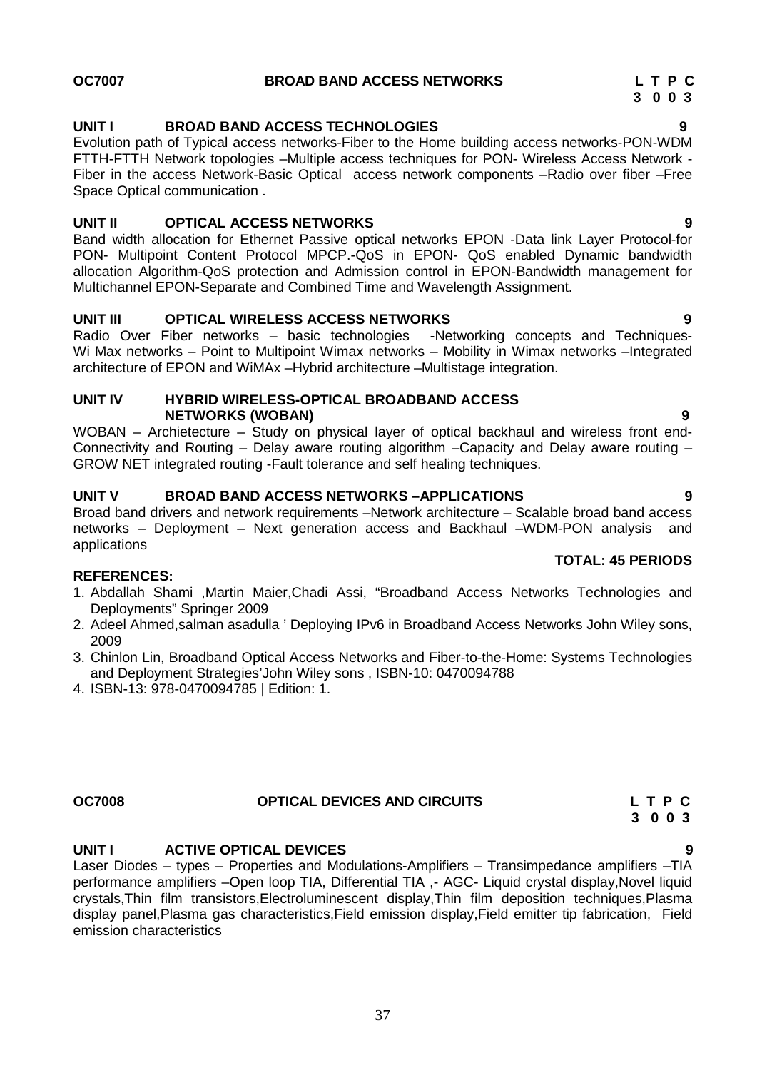### **UNIT I BROAD BAND ACCESS TECHNOLOGIES 9**

Evolution path of Typical access networks-Fiber to the Home building access networks-PON-WDM FTTH-FTTH Network topologies –Multiple access techniques for PON- Wireless Access Network - Fiber in the access Network-Basic Optical access network components –Radio over fiber –Free Space Optical communication .

#### **UNIT II OPTICAL ACCESS NETWORKS 9**

Band width allocation for Ethernet Passive optical networks EPON -Data link Layer Protocol-for PON- Multipoint Content Protocol MPCP.-QoS in EPON- QoS enabled Dynamic bandwidth allocation Algorithm-QoS protection and Admission control in EPON-Bandwidth management for Multichannel EPON-Separate and Combined Time and Wavelength Assignment.

**UNIT III OPTICAL WIRELESS ACCESS NETWORKS**<br>Radio Over Fiber networks – basic technologies -Networking concepts and Techniques-Radio Over Fiber networks – basic technologies Wi Max networks – Point to Multipoint Wimax networks – Mobility in Wimax networks –Integrated architecture of EPON and WiMAx –Hybrid architecture –Multistage integration.

#### **UNIT IV HYBRID WIRELESS-OPTICAL BROADBAND ACCESS NETWORKS (WOBAN) 9**

WOBAN – Archietecture – Study on physical layer of optical backhaul and wireless front end- Connectivity and Routing – Delay aware routing algorithm –Capacity and Delay aware routing – GROW NET integrated routing -Fault tolerance and self healing techniques.

#### **UNIT V BROAD BAND ACCESS NETWORKS –APPLICATIONS 9**

Broad band drivers and network requirements –Network architecture – Scalable broad band access networks – Deployment – Next generation access and Backhaul –WDM-PON analysis and applications

#### **REFERENCES:**

- 1. Abdallah Shami ,Martin Maier,Chadi Assi, "Broadband Access Networks Technologies and Deployments" Springer 2009
- 2. Adeel Ahmed,salman asadulla ' Deploying IPv6 in Broadband Access Networks John Wiley sons, 2009
- 3. Chinlon Lin, Broadband Optical Access Networks and Fiber-to-the-Home: Systems Technologies and Deployment Strategies'John Wiley sons , ISBN-10: 0470094788
- 4. ISBN-13: 978-0470094785 | Edition: 1.

**UNIT I ACTIVE OPTICAL DEVICES 9**

Laser Diodes – types – Properties and Modulations-Amplifiers – Transimpedance amplifiers –TIA performance amplifiers –Open loop TIA, Differential TIA ,- AGC- Liquid crystal display,Novel liquid crystals,Thin film transistors,Electroluminescent display,Thin film deposition techniques,Plasma display panel,Plasma gas characteristics,Field emission display,Field emitter tip fabrication, Field emission characteristics

# **OC7007 BROAD BAND ACCESS NETWORKS L T P C**

# **3 0 0 3**

**TOTAL: 45 PERIODS**

#### **OC7008 OPTICAL DEVICES AND CIRCUITS L T P C 3 0 0 3**